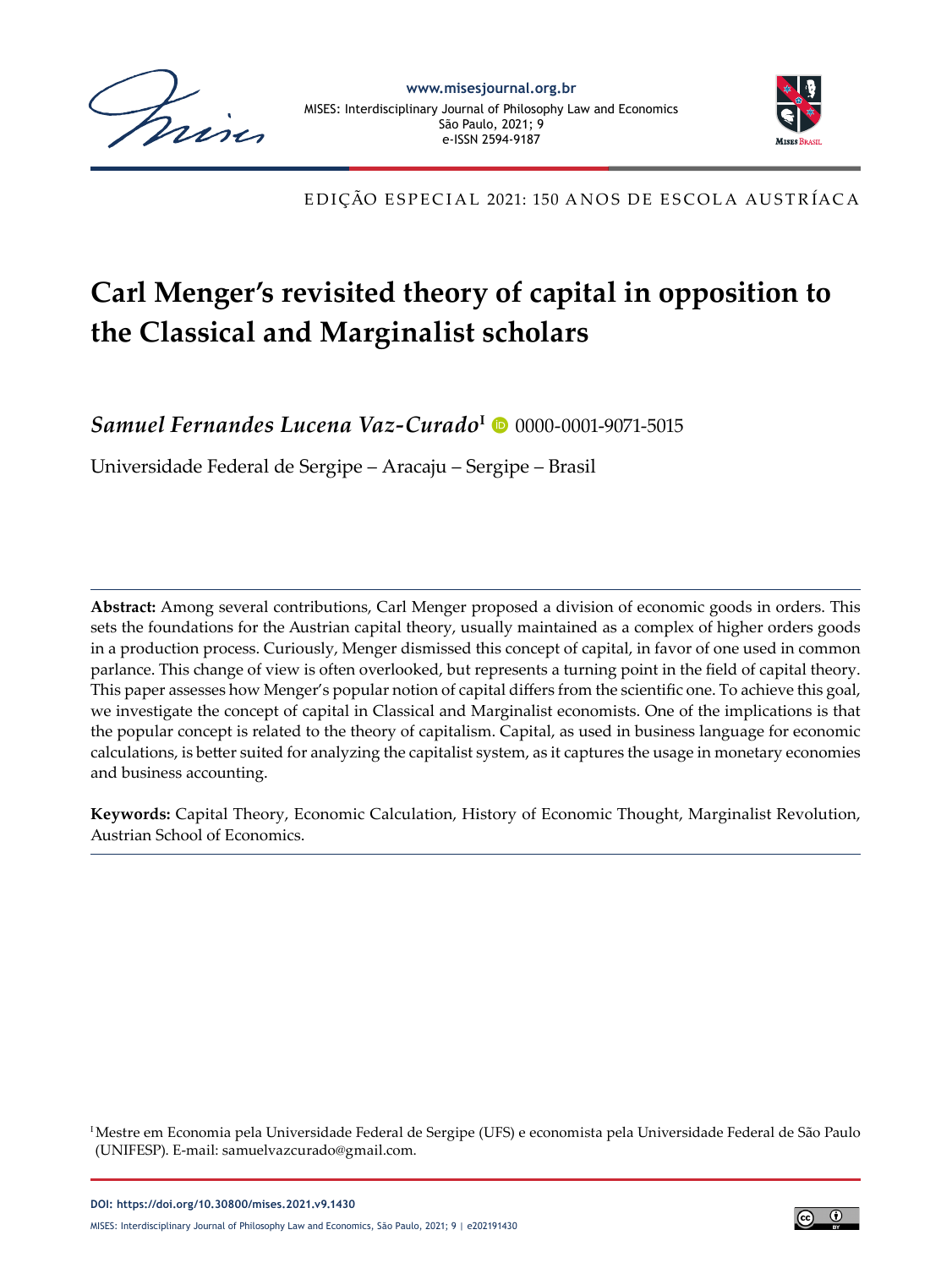



EDIÇÃO ESPECIAL 2021: 150 ANOS DE ESCOLA AUSTRÍACA

# **Carl Menger's revisited theory of capital in opposition to the Classical and Marginalist scholars**

Samuel Fernandes Lucena Vaz-Curado<sup>I</sup> · [0000-0001-9071-5015](https://orcid.org/0000-0001-9071-5015)

Universidade Federal de Sergipe – Aracaju – Sergipe – Brasil

**Abstract:** Among several contributions, Carl Menger proposed a division of economic goods in orders. This sets the foundations for the Austrian capital theory, usually maintained as a complex of higher orders goods in a production process. Curiously, Menger dismissed this concept of capital, in favor of one used in common parlance. This change of view is often overlooked, but represents a turning point in the field of capital theory. This paper assesses how Menger's popular notion of capital differs from the scientific one. To achieve this goal, we investigate the concept of capital in Classical and Marginalist economists. One of the implications is that the popular concept is related to the theory of capitalism. Capital, as used in business language for economic calculations, is better suited for analyzing the capitalist system, as it captures the usage in monetary economies and business accounting.

**Keywords:** Capital Theory, Economic Calculation, History of Economic Thought, Marginalist Revolution, Austrian School of Economics.

<sup>I</sup> Mestre em Economia pela Universidade Federal de Sergipe (UFS) e economista pela Universidade Federal de São Paulo (UNIFESP). E-mail: samuelvazcurado@gmail.com.

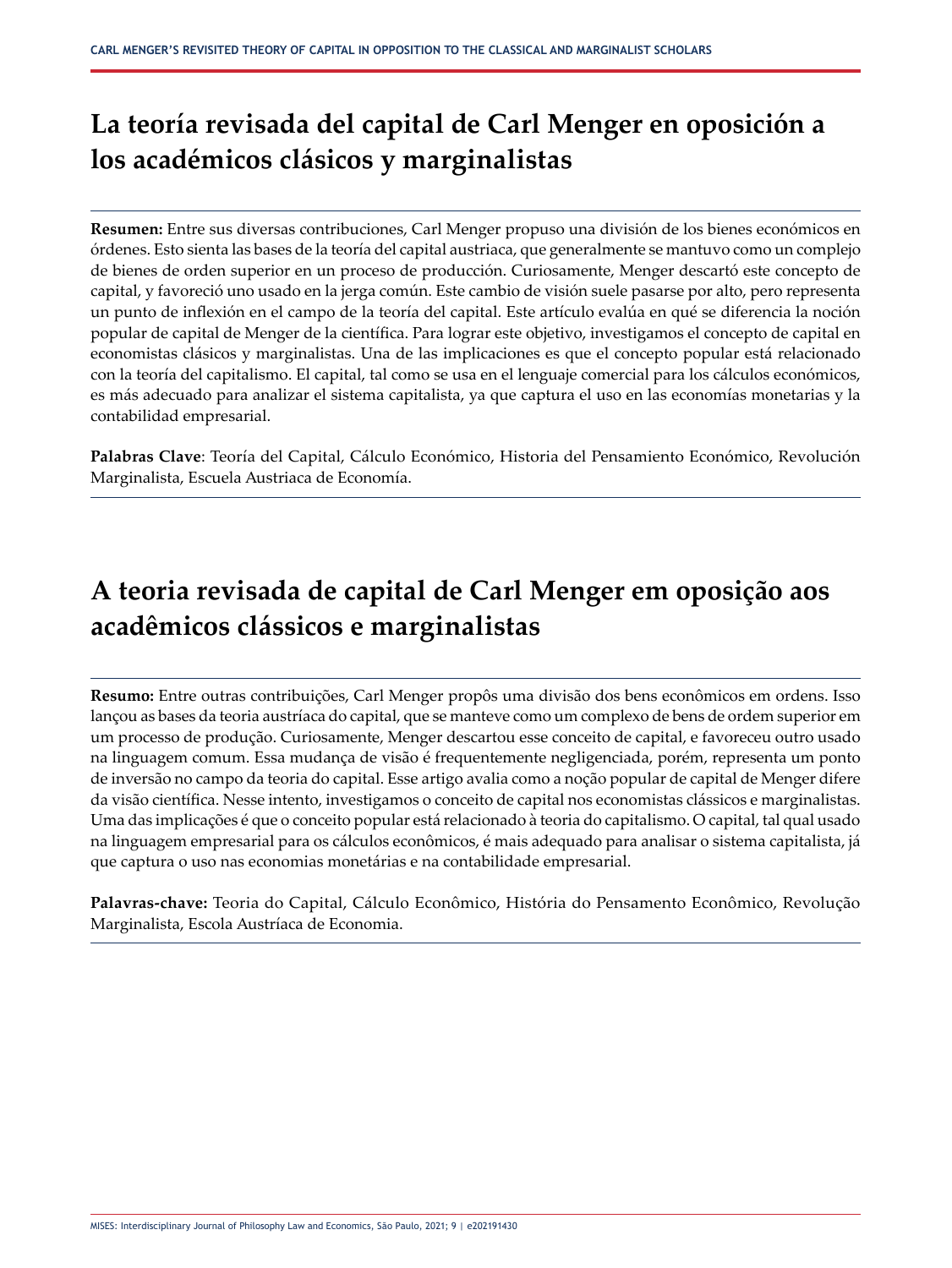# **La teoría revisada del capital de Carl Menger en oposición a los académicos clásicos y marginalistas**

**Resumen:** Entre sus diversas contribuciones, Carl Menger propuso una división de los bienes económicos en órdenes. Esto sienta las bases de la teoría del capital austriaca, que generalmente se mantuvo como un complejo de bienes de orden superior en un proceso de producción. Curiosamente, Menger descartó este concepto de capital, y favoreció uno usado en la jerga común. Este cambio de visión suele pasarse por alto, pero representa un punto de inflexión en el campo de la teoría del capital. Este artículo evalúa en qué se diferencia la noción popular de capital de Menger de la científica. Para lograr este objetivo, investigamos el concepto de capital en economistas clásicos y marginalistas. Una de las implicaciones es que el concepto popular está relacionado con la teoría del capitalismo. El capital, tal como se usa en el lenguaje comercial para los cálculos económicos, es más adecuado para analizar el sistema capitalista, ya que captura el uso en las economías monetarias y la contabilidad empresarial.

**Palabras Clave**: Teoría del Capital, Cálculo Económico, Historia del Pensamiento Económico, Revolución Marginalista, Escuela Austriaca de Economía.

# **A teoria revisada de capital de Carl Menger em oposição aos acadêmicos clássicos e marginalistas**

**Resumo:** Entre outras contribuições, Carl Menger propôs uma divisão dos bens econômicos em ordens. Isso lançou as bases da teoria austríaca do capital, que se manteve como um complexo de bens de ordem superior em um processo de produção. Curiosamente, Menger descartou esse conceito de capital, e favoreceu outro usado na linguagem comum. Essa mudança de visão é frequentemente negligenciada, porém, representa um ponto de inversão no campo da teoria do capital. Esse artigo avalia como a noção popular de capital de Menger difere da visão científica. Nesse intento, investigamos o conceito de capital nos economistas clássicos e marginalistas. Uma das implicações é que o conceito popular está relacionado à teoria do capitalismo. O capital, tal qual usado na linguagem empresarial para os cálculos econômicos, é mais adequado para analisar o sistema capitalista, já que captura o uso nas economias monetárias e na contabilidade empresarial.

**Palavras-chave:** Teoria do Capital, Cálculo Econômico, História do Pensamento Econômico, Revolução Marginalista, Escola Austríaca de Economia.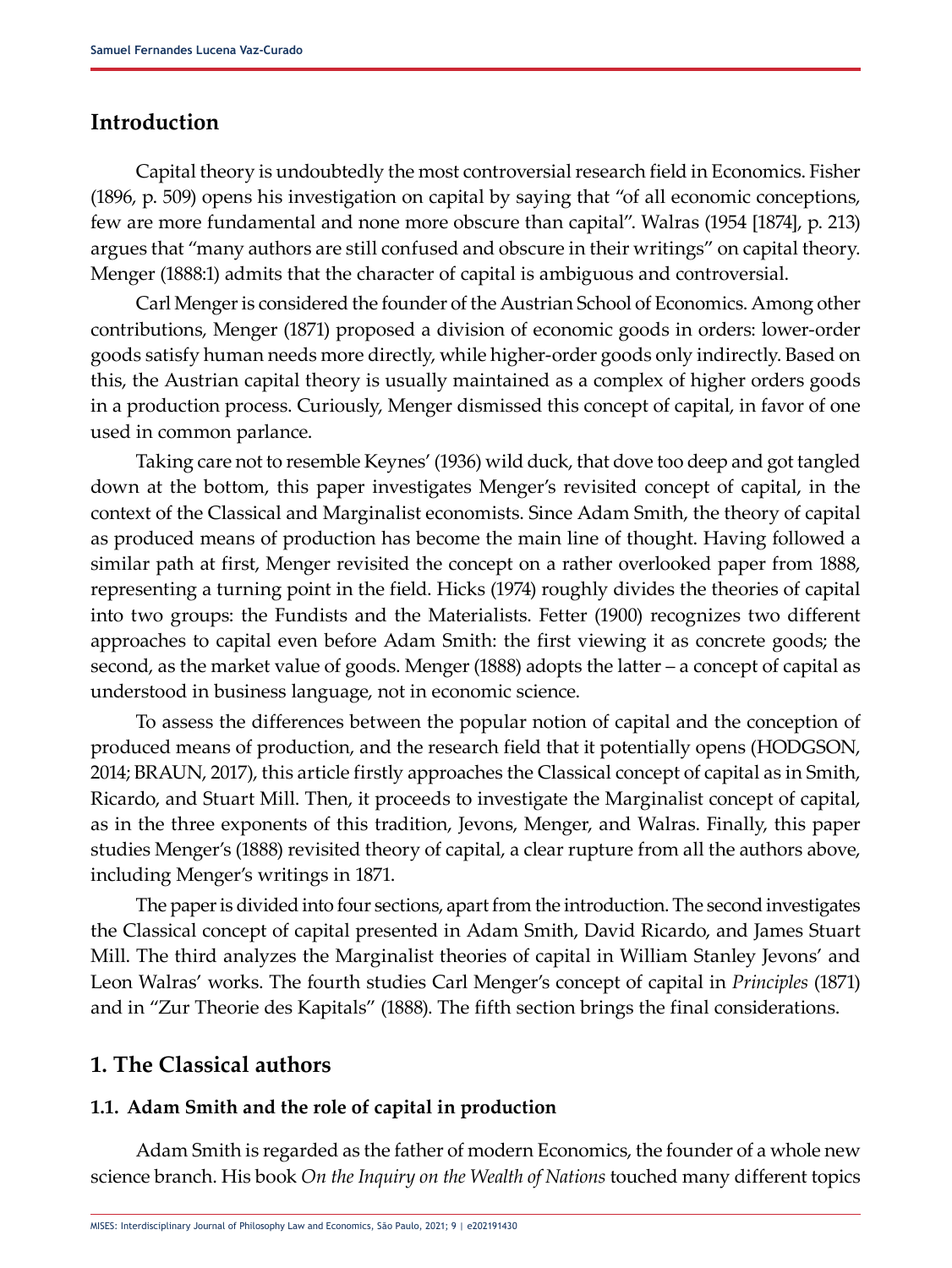## **Introduction**

Capital theory is undoubtedly the most controversial research field in Economics. Fisher (1896, p. 509) opens his investigation on capital by saying that "of all economic conceptions, few are more fundamental and none more obscure than capital". Walras (1954 [1874], p. 213) argues that "many authors are still confused and obscure in their writings" on capital theory. Menger (1888:1) admits that the character of capital is ambiguous and controversial.

Carl Menger is considered the founder of the Austrian School of Economics. Among other contributions, Menger (1871) proposed a division of economic goods in orders: lower-order goods satisfy human needs more directly, while higher-order goods only indirectly. Based on this, the Austrian capital theory is usually maintained as a complex of higher orders goods in a production process. Curiously, Menger dismissed this concept of capital, in favor of one used in common parlance.

Taking care not to resemble Keynes' (1936) wild duck, that dove too deep and got tangled down at the bottom, this paper investigates Menger's revisited concept of capital, in the context of the Classical and Marginalist economists. Since Adam Smith, the theory of capital as produced means of production has become the main line of thought. Having followed a similar path at first, Menger revisited the concept on a rather overlooked paper from 1888, representing a turning point in the field. Hicks (1974) roughly divides the theories of capital into two groups: the Fundists and the Materialists. Fetter (1900) recognizes two different approaches to capital even before Adam Smith: the first viewing it as concrete goods; the second, as the market value of goods. Menger (1888) adopts the latter – a concept of capital as understood in business language, not in economic science.

To assess the differences between the popular notion of capital and the conception of produced means of production, and the research field that it potentially opens (HODGSON, 2014; BRAUN, 2017), this article firstly approaches the Classical concept of capital as in Smith, Ricardo, and Stuart Mill. Then, it proceeds to investigate the Marginalist concept of capital, as in the three exponents of this tradition, Jevons, Menger, and Walras. Finally, this paper studies Menger's (1888) revisited theory of capital, a clear rupture from all the authors above, including Menger's writings in 1871.

The paper is divided into four sections, apart from the introduction. The second investigates the Classical concept of capital presented in Adam Smith, David Ricardo, and James Stuart Mill. The third analyzes the Marginalist theories of capital in William Stanley Jevons' and Leon Walras' works. The fourth studies Carl Menger's concept of capital in *Principles* (1871) and in "Zur Theorie des Kapitals" (1888). The fifth section brings the final considerations.

# **1. The Classical authors**

### **1.1. Adam Smith and the role of capital in production**

Adam Smith is regarded as the father of modern Economics, the founder of a whole new science branch. His book *On the Inquiry on the Wealth of Nations* touched many different topics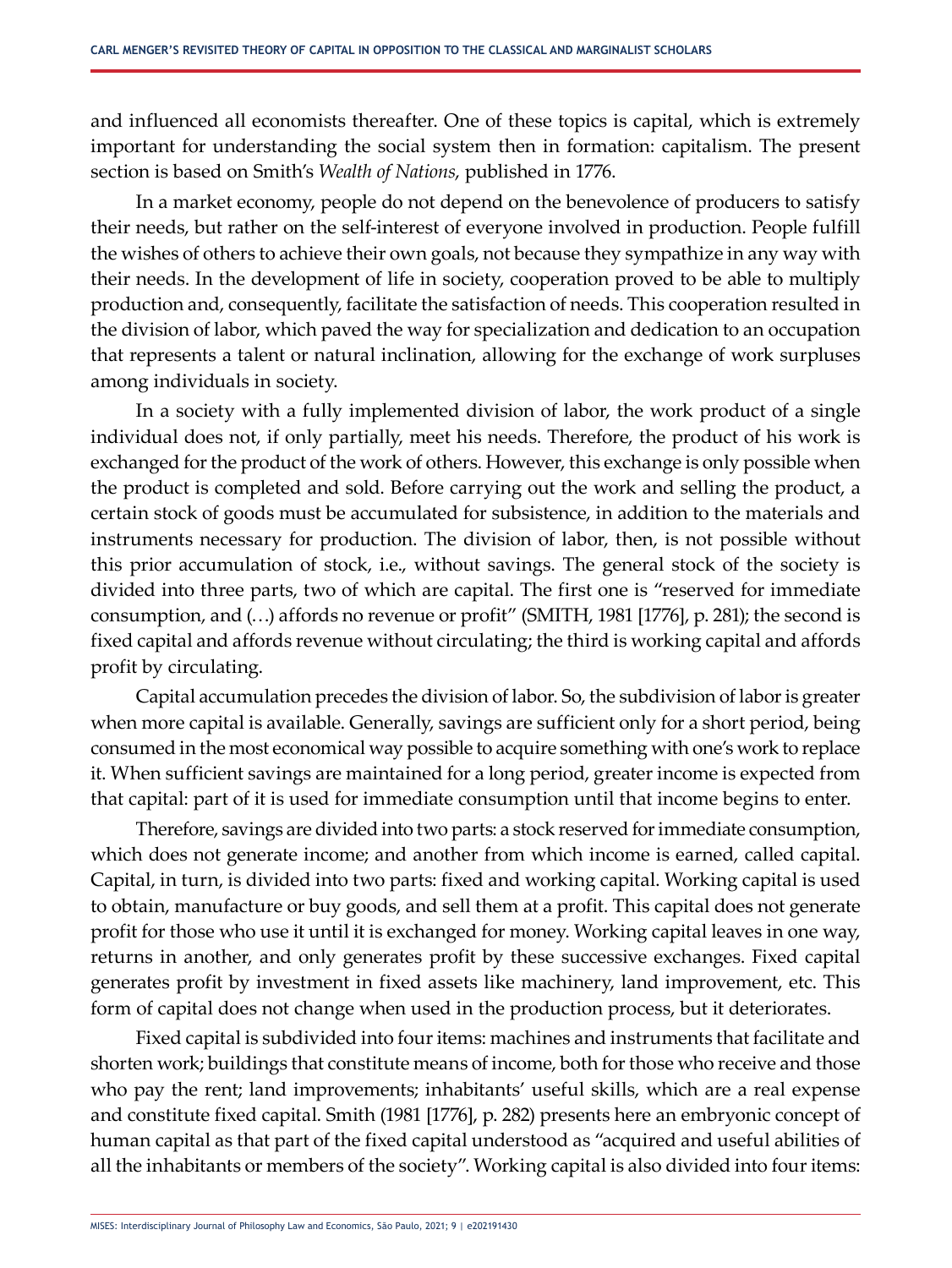and influenced all economists thereafter. One of these topics is capital, which is extremely important for understanding the social system then in formation: capitalism. The present section is based on Smith's *Wealth of Nations*, published in 1776.

In a market economy, people do not depend on the benevolence of producers to satisfy their needs, but rather on the self-interest of everyone involved in production. People fulfill the wishes of others to achieve their own goals, not because they sympathize in any way with their needs. In the development of life in society, cooperation proved to be able to multiply production and, consequently, facilitate the satisfaction of needs. This cooperation resulted in the division of labor, which paved the way for specialization and dedication to an occupation that represents a talent or natural inclination, allowing for the exchange of work surpluses among individuals in society.

In a society with a fully implemented division of labor, the work product of a single individual does not, if only partially, meet his needs. Therefore, the product of his work is exchanged for the product of the work of others. However, this exchange is only possible when the product is completed and sold. Before carrying out the work and selling the product, a certain stock of goods must be accumulated for subsistence, in addition to the materials and instruments necessary for production. The division of labor, then, is not possible without this prior accumulation of stock, i.e., without savings. The general stock of the society is divided into three parts, two of which are capital. The first one is "reserved for immediate consumption, and (…) affords no revenue or profit" (SMITH, 1981 [1776], p. 281); the second is fixed capital and affords revenue without circulating; the third is working capital and affords profit by circulating.

Capital accumulation precedes the division of labor. So, the subdivision of labor is greater when more capital is available. Generally, savings are sufficient only for a short period, being consumed in the most economical way possible to acquire something with one's work to replace it. When sufficient savings are maintained for a long period, greater income is expected from that capital: part of it is used for immediate consumption until that income begins to enter.

Therefore, savings are divided into two parts: a stock reserved for immediate consumption, which does not generate income; and another from which income is earned, called capital. Capital, in turn, is divided into two parts: fixed and working capital. Working capital is used to obtain, manufacture or buy goods, and sell them at a profit. This capital does not generate profit for those who use it until it is exchanged for money. Working capital leaves in one way, returns in another, and only generates profit by these successive exchanges. Fixed capital generates profit by investment in fixed assets like machinery, land improvement, etc. This form of capital does not change when used in the production process, but it deteriorates.

Fixed capital is subdivided into four items: machines and instruments that facilitate and shorten work; buildings that constitute means of income, both for those who receive and those who pay the rent; land improvements; inhabitants' useful skills, which are a real expense and constitute fixed capital. Smith (1981 [1776], p. 282) presents here an embryonic concept of human capital as that part of the fixed capital understood as "acquired and useful abilities of all the inhabitants or members of the society". Working capital is also divided into four items: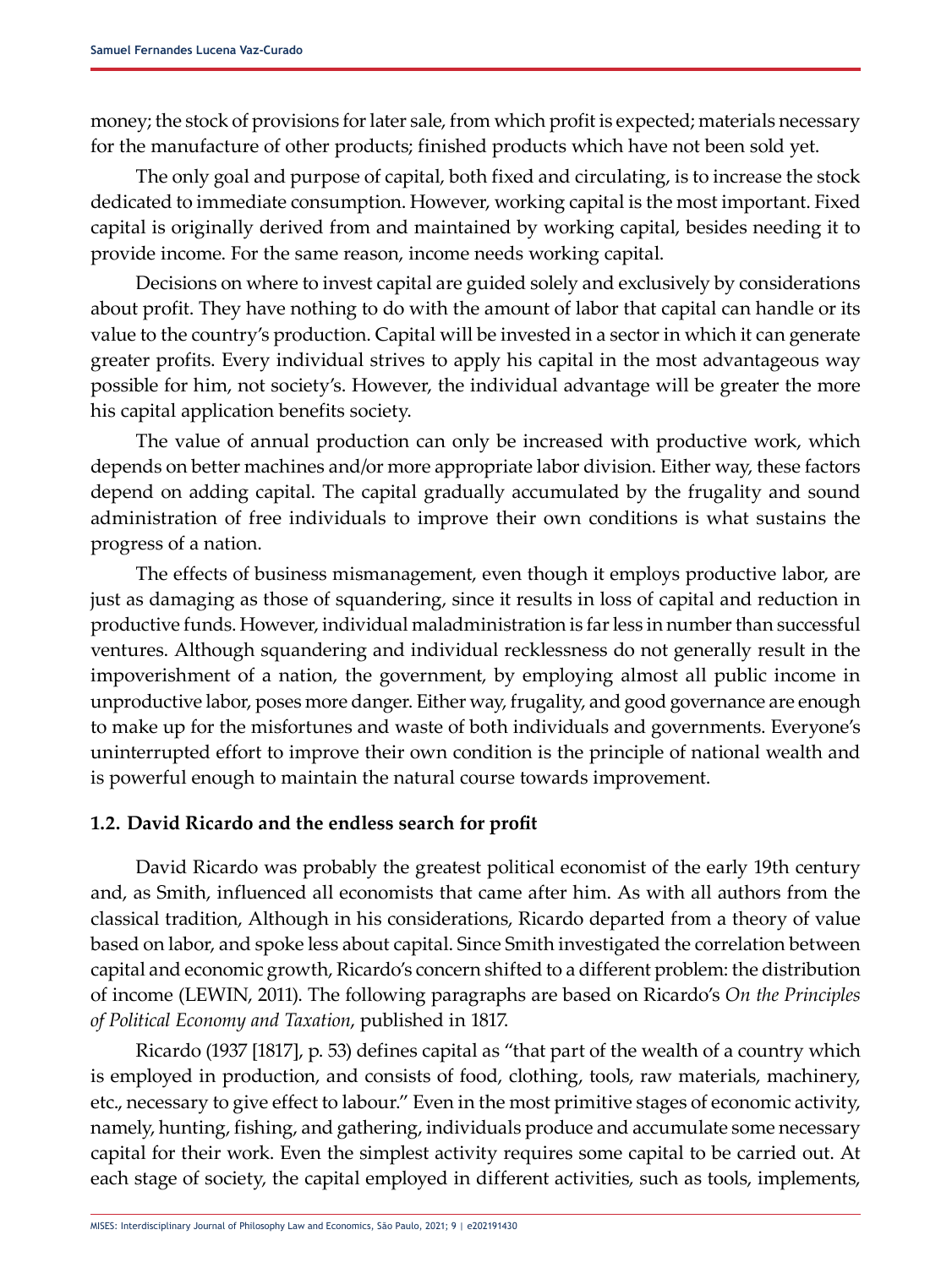money; the stock of provisions for later sale, from which profit is expected; materials necessary for the manufacture of other products; finished products which have not been sold yet.

The only goal and purpose of capital, both fixed and circulating, is to increase the stock dedicated to immediate consumption. However, working capital is the most important. Fixed capital is originally derived from and maintained by working capital, besides needing it to provide income. For the same reason, income needs working capital.

Decisions on where to invest capital are guided solely and exclusively by considerations about profit. They have nothing to do with the amount of labor that capital can handle or its value to the country's production. Capital will be invested in a sector in which it can generate greater profits. Every individual strives to apply his capital in the most advantageous way possible for him, not society's. However, the individual advantage will be greater the more his capital application benefits society.

The value of annual production can only be increased with productive work, which depends on better machines and/or more appropriate labor division. Either way, these factors depend on adding capital. The capital gradually accumulated by the frugality and sound administration of free individuals to improve their own conditions is what sustains the progress of a nation.

The effects of business mismanagement, even though it employs productive labor, are just as damaging as those of squandering, since it results in loss of capital and reduction in productive funds. However, individual maladministration is far less in number than successful ventures. Although squandering and individual recklessness do not generally result in the impoverishment of a nation, the government, by employing almost all public income in unproductive labor, poses more danger. Either way, frugality, and good governance are enough to make up for the misfortunes and waste of both individuals and governments. Everyone's uninterrupted effort to improve their own condition is the principle of national wealth and is powerful enough to maintain the natural course towards improvement.

#### **1.2. David Ricardo and the endless search for profit**

David Ricardo was probably the greatest political economist of the early 19th century and, as Smith, influenced all economists that came after him. As with all authors from the classical tradition, Although in his considerations, Ricardo departed from a theory of value based on labor, and spoke less about capital. Since Smith investigated the correlation between capital and economic growth, Ricardo's concern shifted to a different problem: the distribution of income (LEWIN, 2011). The following paragraphs are based on Ricardo's *On the Principles of Political Economy and Taxation*, published in 1817.

Ricardo (1937 [1817], p. 53) defines capital as "that part of the wealth of a country which is employed in production, and consists of food, clothing, tools, raw materials, machinery, etc., necessary to give effect to labour." Even in the most primitive stages of economic activity, namely, hunting, fishing, and gathering, individuals produce and accumulate some necessary capital for their work. Even the simplest activity requires some capital to be carried out. At each stage of society, the capital employed in different activities, such as tools, implements,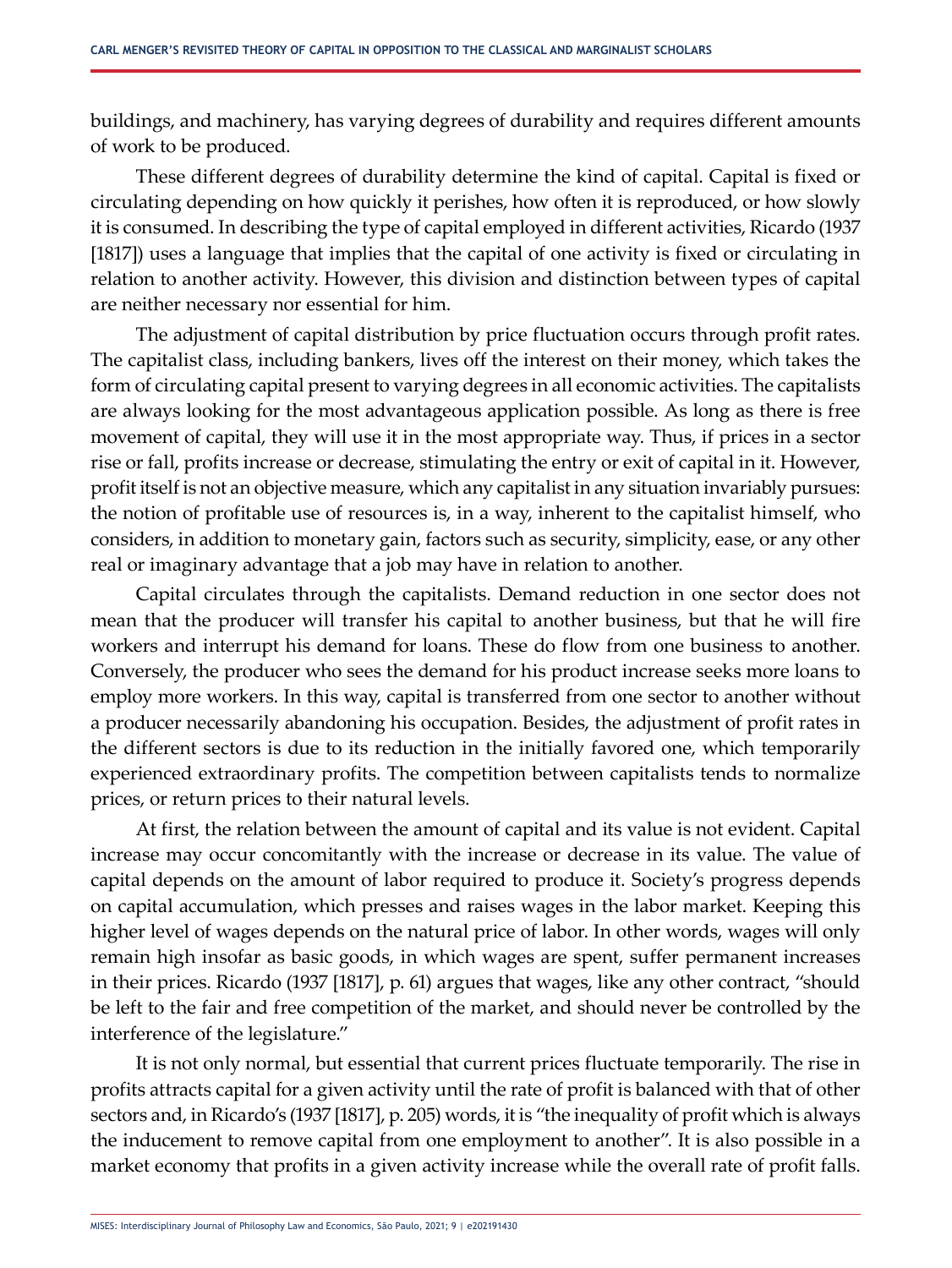buildings, and machinery, has varying degrees of durability and requires different amounts of work to be produced.

These different degrees of durability determine the kind of capital. Capital is fixed or circulating depending on how quickly it perishes, how often it is reproduced, or how slowly it is consumed. In describing the type of capital employed in different activities, Ricardo (1937 [1817]) uses a language that implies that the capital of one activity is fixed or circulating in relation to another activity. However, this division and distinction between types of capital are neither necessary nor essential for him.

The adjustment of capital distribution by price fluctuation occurs through profit rates. The capitalist class, including bankers, lives off the interest on their money, which takes the form of circulating capital present to varying degrees in all economic activities. The capitalists are always looking for the most advantageous application possible. As long as there is free movement of capital, they will use it in the most appropriate way. Thus, if prices in a sector rise or fall, profits increase or decrease, stimulating the entry or exit of capital in it. However, profit itself is not an objective measure, which any capitalist in any situation invariably pursues: the notion of profitable use of resources is, in a way, inherent to the capitalist himself, who considers, in addition to monetary gain, factors such as security, simplicity, ease, or any other real or imaginary advantage that a job may have in relation to another.

Capital circulates through the capitalists. Demand reduction in one sector does not mean that the producer will transfer his capital to another business, but that he will fire workers and interrupt his demand for loans. These do flow from one business to another. Conversely, the producer who sees the demand for his product increase seeks more loans to employ more workers. In this way, capital is transferred from one sector to another without a producer necessarily abandoning his occupation. Besides, the adjustment of profit rates in the different sectors is due to its reduction in the initially favored one, which temporarily experienced extraordinary profits. The competition between capitalists tends to normalize prices, or return prices to their natural levels.

At first, the relation between the amount of capital and its value is not evident. Capital increase may occur concomitantly with the increase or decrease in its value. The value of capital depends on the amount of labor required to produce it. Society's progress depends on capital accumulation, which presses and raises wages in the labor market. Keeping this higher level of wages depends on the natural price of labor. In other words, wages will only remain high insofar as basic goods, in which wages are spent, suffer permanent increases in their prices. Ricardo (1937 [1817], p. 61) argues that wages, like any other contract, "should be left to the fair and free competition of the market, and should never be controlled by the interference of the legislature."

It is not only normal, but essential that current prices fluctuate temporarily. The rise in profits attracts capital for a given activity until the rate of profit is balanced with that of other sectors and, in Ricardo's (1937 [1817], p. 205) words, it is "the inequality of profit which is always the inducement to remove capital from one employment to another". It is also possible in a market economy that profits in a given activity increase while the overall rate of profit falls.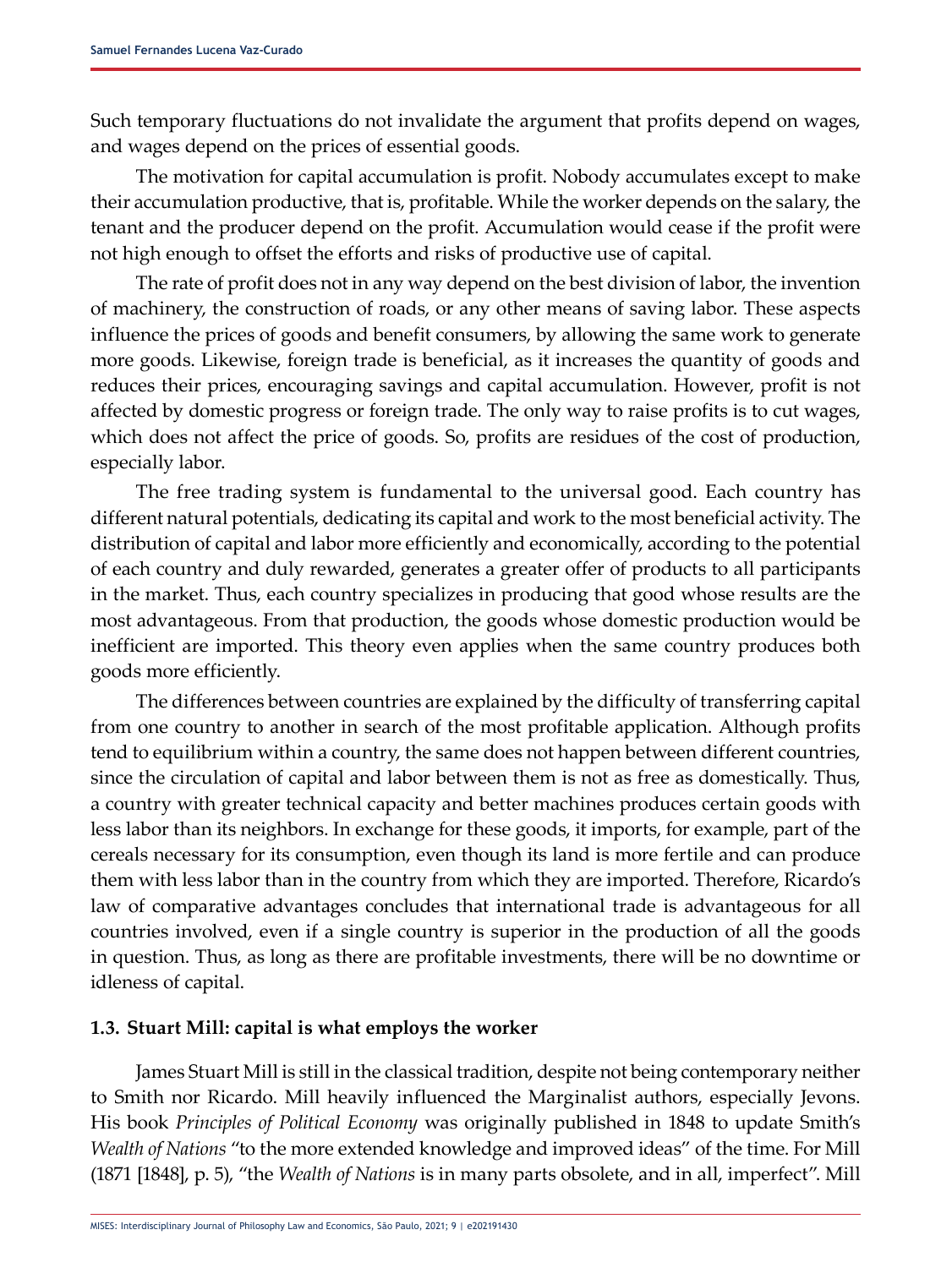Such temporary fluctuations do not invalidate the argument that profits depend on wages, and wages depend on the prices of essential goods.

The motivation for capital accumulation is profit. Nobody accumulates except to make their accumulation productive, that is, profitable. While the worker depends on the salary, the tenant and the producer depend on the profit. Accumulation would cease if the profit were not high enough to offset the efforts and risks of productive use of capital.

The rate of profit does not in any way depend on the best division of labor, the invention of machinery, the construction of roads, or any other means of saving labor. These aspects influence the prices of goods and benefit consumers, by allowing the same work to generate more goods. Likewise, foreign trade is beneficial, as it increases the quantity of goods and reduces their prices, encouraging savings and capital accumulation. However, profit is not affected by domestic progress or foreign trade. The only way to raise profits is to cut wages, which does not affect the price of goods. So, profits are residues of the cost of production, especially labor.

The free trading system is fundamental to the universal good. Each country has different natural potentials, dedicating its capital and work to the most beneficial activity. The distribution of capital and labor more efficiently and economically, according to the potential of each country and duly rewarded, generates a greater offer of products to all participants in the market. Thus, each country specializes in producing that good whose results are the most advantageous. From that production, the goods whose domestic production would be inefficient are imported. This theory even applies when the same country produces both goods more efficiently.

The differences between countries are explained by the difficulty of transferring capital from one country to another in search of the most profitable application. Although profits tend to equilibrium within a country, the same does not happen between different countries, since the circulation of capital and labor between them is not as free as domestically. Thus, a country with greater technical capacity and better machines produces certain goods with less labor than its neighbors. In exchange for these goods, it imports, for example, part of the cereals necessary for its consumption, even though its land is more fertile and can produce them with less labor than in the country from which they are imported. Therefore, Ricardo's law of comparative advantages concludes that international trade is advantageous for all countries involved, even if a single country is superior in the production of all the goods in question. Thus, as long as there are profitable investments, there will be no downtime or idleness of capital.

#### **1.3. Stuart Mill: capital is what employs the worker**

James Stuart Mill is still in the classical tradition, despite not being contemporary neither to Smith nor Ricardo. Mill heavily influenced the Marginalist authors, especially Jevons. His book *Principles of Political Economy* was originally published in 1848 to update Smith's *Wealth of Nations* "to the more extended knowledge and improved ideas" of the time. For Mill (1871 [1848], p. 5), "the *Wealth of Nations* is in many parts obsolete, and in all, imperfect". Mill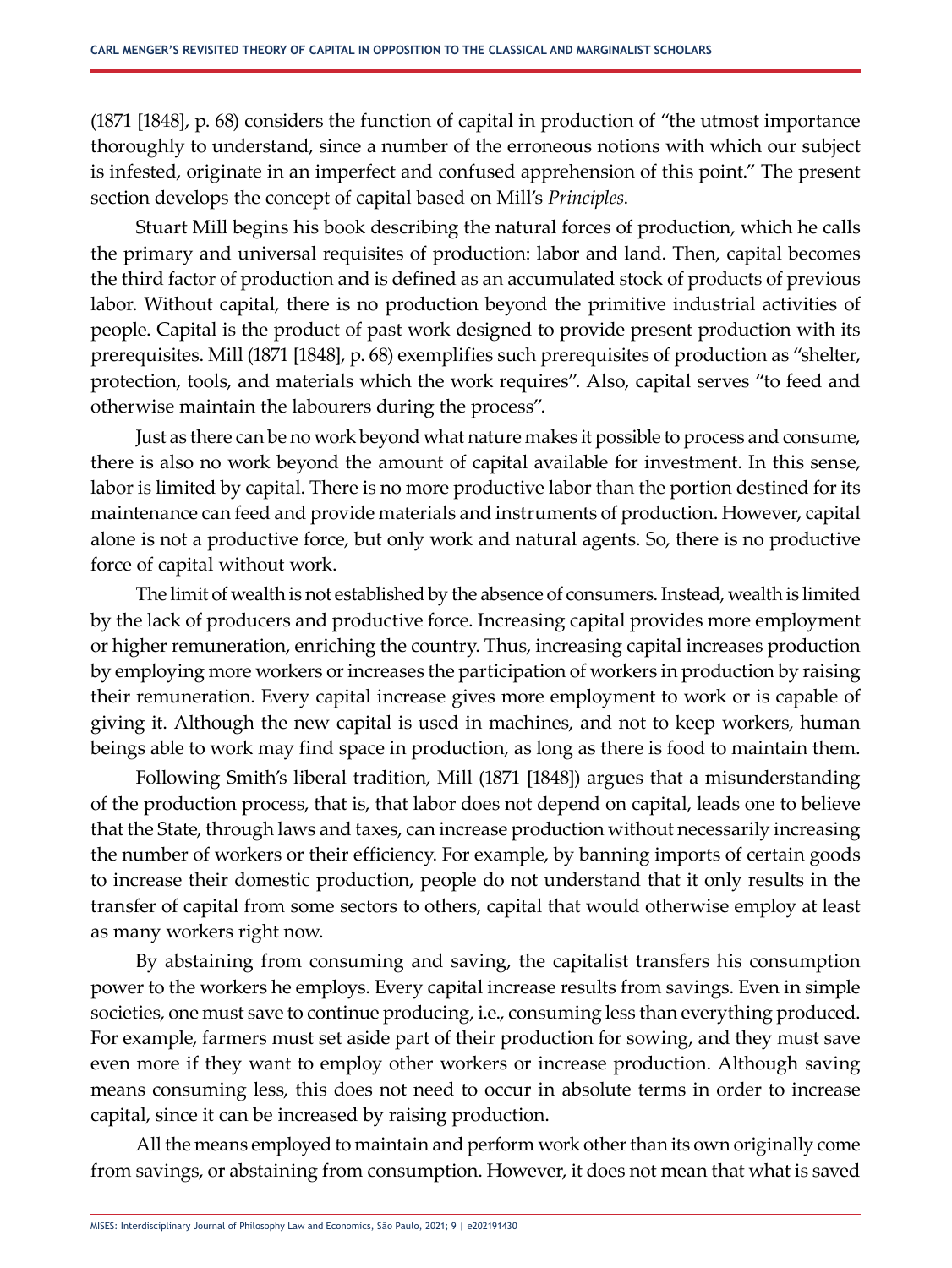(1871 [1848], p. 68) considers the function of capital in production of "the utmost importance thoroughly to understand, since a number of the erroneous notions with which our subject is infested, originate in an imperfect and confused apprehension of this point." The present section develops the concept of capital based on Mill's *Principles*.

Stuart Mill begins his book describing the natural forces of production, which he calls the primary and universal requisites of production: labor and land. Then, capital becomes the third factor of production and is defined as an accumulated stock of products of previous labor. Without capital, there is no production beyond the primitive industrial activities of people. Capital is the product of past work designed to provide present production with its prerequisites. Mill (1871 [1848], p. 68) exemplifies such prerequisites of production as "shelter, protection, tools, and materials which the work requires". Also, capital serves "to feed and otherwise maintain the labourers during the process".

Just as there can be no work beyond what nature makes it possible to process and consume, there is also no work beyond the amount of capital available for investment. In this sense, labor is limited by capital. There is no more productive labor than the portion destined for its maintenance can feed and provide materials and instruments of production. However, capital alone is not a productive force, but only work and natural agents. So, there is no productive force of capital without work.

The limit of wealth is not established by the absence of consumers. Instead, wealth is limited by the lack of producers and productive force. Increasing capital provides more employment or higher remuneration, enriching the country. Thus, increasing capital increases production by employing more workers or increases the participation of workers in production by raising their remuneration. Every capital increase gives more employment to work or is capable of giving it. Although the new capital is used in machines, and not to keep workers, human beings able to work may find space in production, as long as there is food to maintain them.

Following Smith's liberal tradition, Mill (1871 [1848]) argues that a misunderstanding of the production process, that is, that labor does not depend on capital, leads one to believe that the State, through laws and taxes, can increase production without necessarily increasing the number of workers or their efficiency. For example, by banning imports of certain goods to increase their domestic production, people do not understand that it only results in the transfer of capital from some sectors to others, capital that would otherwise employ at least as many workers right now.

By abstaining from consuming and saving, the capitalist transfers his consumption power to the workers he employs. Every capital increase results from savings. Even in simple societies, one must save to continue producing, i.e., consuming less than everything produced. For example, farmers must set aside part of their production for sowing, and they must save even more if they want to employ other workers or increase production. Although saving means consuming less, this does not need to occur in absolute terms in order to increase capital, since it can be increased by raising production.

All the means employed to maintain and perform work other than its own originally come from savings, or abstaining from consumption. However, it does not mean that what is saved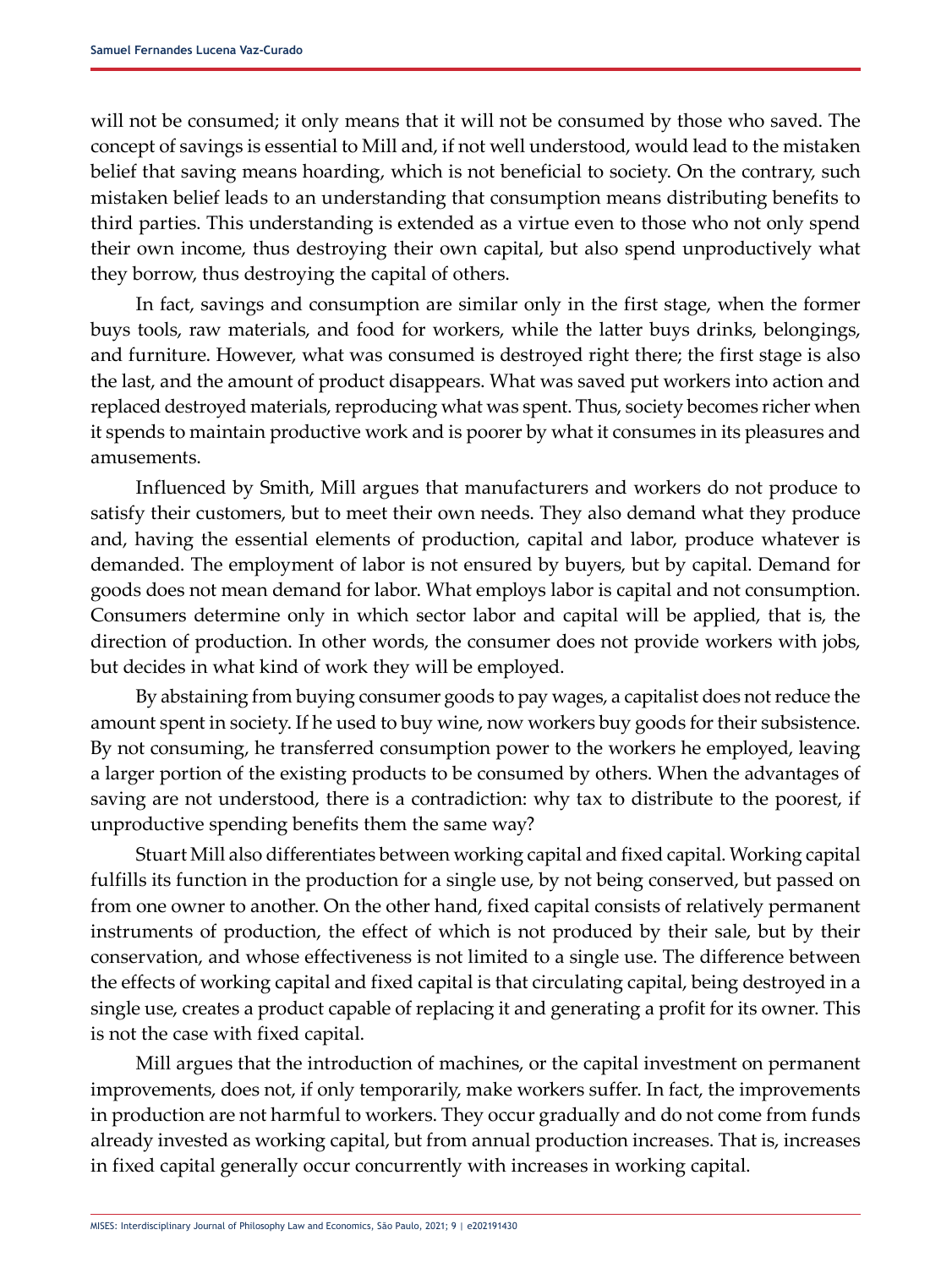will not be consumed; it only means that it will not be consumed by those who saved. The concept of savings is essential to Mill and, if not well understood, would lead to the mistaken belief that saving means hoarding, which is not beneficial to society. On the contrary, such mistaken belief leads to an understanding that consumption means distributing benefits to third parties. This understanding is extended as a virtue even to those who not only spend their own income, thus destroying their own capital, but also spend unproductively what they borrow, thus destroying the capital of others.

In fact, savings and consumption are similar only in the first stage, when the former buys tools, raw materials, and food for workers, while the latter buys drinks, belongings, and furniture. However, what was consumed is destroyed right there; the first stage is also the last, and the amount of product disappears. What was saved put workers into action and replaced destroyed materials, reproducing what was spent. Thus, society becomes richer when it spends to maintain productive work and is poorer by what it consumes in its pleasures and amusements.

Influenced by Smith, Mill argues that manufacturers and workers do not produce to satisfy their customers, but to meet their own needs. They also demand what they produce and, having the essential elements of production, capital and labor, produce whatever is demanded. The employment of labor is not ensured by buyers, but by capital. Demand for goods does not mean demand for labor. What employs labor is capital and not consumption. Consumers determine only in which sector labor and capital will be applied, that is, the direction of production. In other words, the consumer does not provide workers with jobs, but decides in what kind of work they will be employed.

By abstaining from buying consumer goods to pay wages, a capitalist does not reduce the amount spent in society. If he used to buy wine, now workers buy goods for their subsistence. By not consuming, he transferred consumption power to the workers he employed, leaving a larger portion of the existing products to be consumed by others. When the advantages of saving are not understood, there is a contradiction: why tax to distribute to the poorest, if unproductive spending benefits them the same way?

Stuart Mill also differentiates between working capital and fixed capital. Working capital fulfills its function in the production for a single use, by not being conserved, but passed on from one owner to another. On the other hand, fixed capital consists of relatively permanent instruments of production, the effect of which is not produced by their sale, but by their conservation, and whose effectiveness is not limited to a single use. The difference between the effects of working capital and fixed capital is that circulating capital, being destroyed in a single use, creates a product capable of replacing it and generating a profit for its owner. This is not the case with fixed capital.

Mill argues that the introduction of machines, or the capital investment on permanent improvements, does not, if only temporarily, make workers suffer. In fact, the improvements in production are not harmful to workers. They occur gradually and do not come from funds already invested as working capital, but from annual production increases. That is, increases in fixed capital generally occur concurrently with increases in working capital.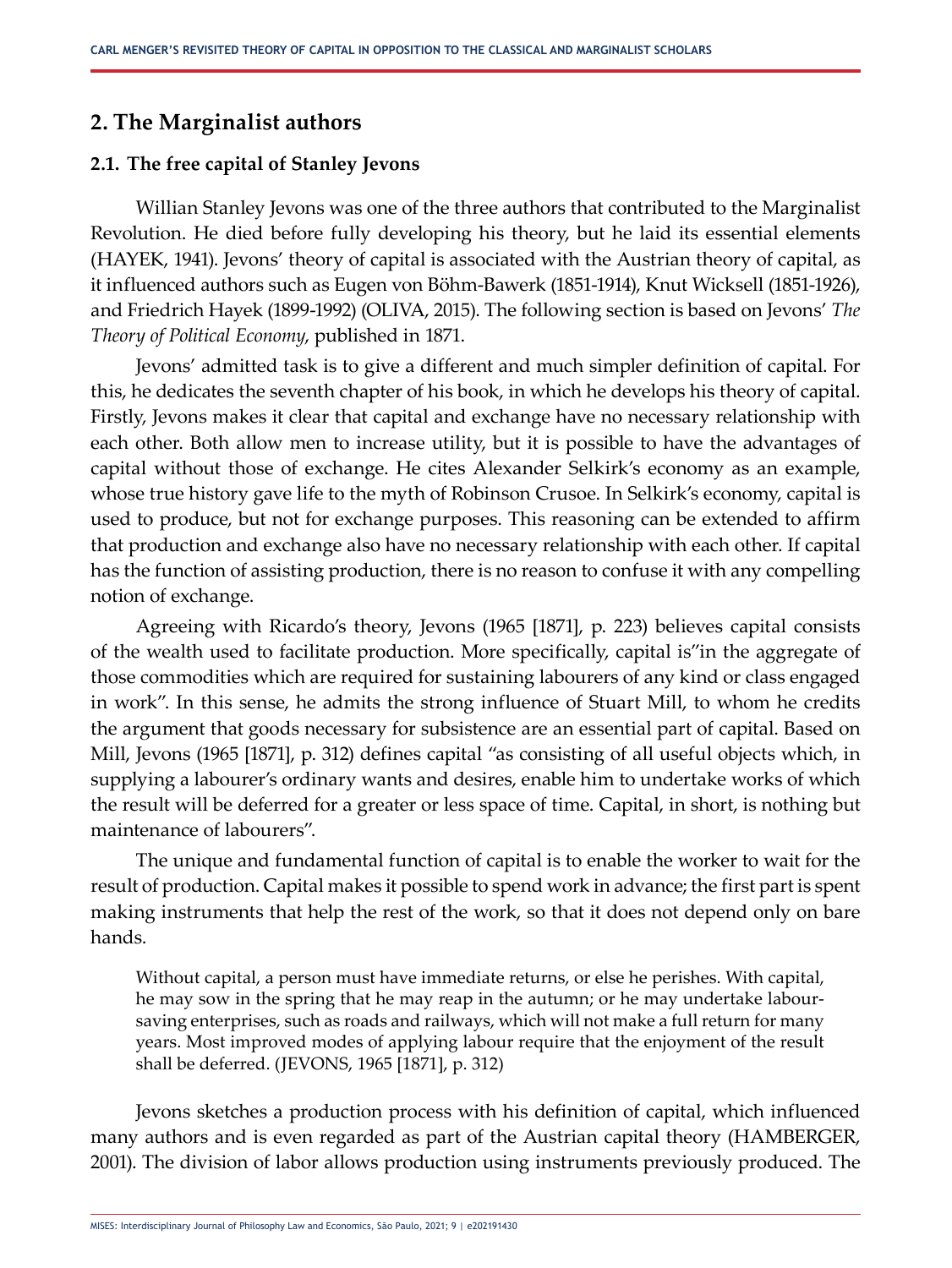## **2. The Marginalist authors**

#### **2.1. The free capital of Stanley Jevons**

Willian Stanley Jevons was one of the three authors that contributed to the Marginalist Revolution. He died before fully developing his theory, but he laid its essential elements (HAYEK, 1941). Jevons' theory of capital is associated with the Austrian theory of capital, as it influenced authors such as Eugen von Böhm-Bawerk (1851-1914), Knut Wicksell (1851-1926), and Friedrich Hayek (1899-1992) (OLIVA, 2015). The following section is based on Jevons' *The Theory of Political Economy*, published in 1871.

Jevons' admitted task is to give a different and much simpler definition of capital. For this, he dedicates the seventh chapter of his book, in which he develops his theory of capital. Firstly, Jevons makes it clear that capital and exchange have no necessary relationship with each other. Both allow men to increase utility, but it is possible to have the advantages of capital without those of exchange. He cites Alexander Selkirk's economy as an example, whose true history gave life to the myth of Robinson Crusoe. In Selkirk's economy, capital is used to produce, but not for exchange purposes. This reasoning can be extended to affirm that production and exchange also have no necessary relationship with each other. If capital has the function of assisting production, there is no reason to confuse it with any compelling notion of exchange.

Agreeing with Ricardo's theory, Jevons (1965 [1871], p. 223) believes capital consists of the wealth used to facilitate production. More specifically, capital is"in the aggregate of those commodities which are required for sustaining labourers of any kind or class engaged in work". In this sense, he admits the strong influence of Stuart Mill, to whom he credits the argument that goods necessary for subsistence are an essential part of capital. Based on Mill, Jevons (1965 [1871], p. 312) defines capital "as consisting of all useful objects which, in supplying a labourer's ordinary wants and desires, enable him to undertake works of which the result will be deferred for a greater or less space of time. Capital, in short, is nothing but maintenance of labourers".

The unique and fundamental function of capital is to enable the worker to wait for the result of production. Capital makes it possible to spend work in advance; the first part is spent making instruments that help the rest of the work, so that it does not depend only on bare hands.

Without capital, a person must have immediate returns, or else he perishes. With capital, he may sow in the spring that he may reap in the autumn; or he may undertake laboursaving enterprises, such as roads and railways, which will not make a full return for many years. Most improved modes of applying labour require that the enjoyment of the result shall be deferred. (JEVONS, 1965 [1871], p. 312)

Jevons sketches a production process with his definition of capital, which influenced many authors and is even regarded as part of the Austrian capital theory (HAMBERGER, 2001). The division of labor allows production using instruments previously produced. The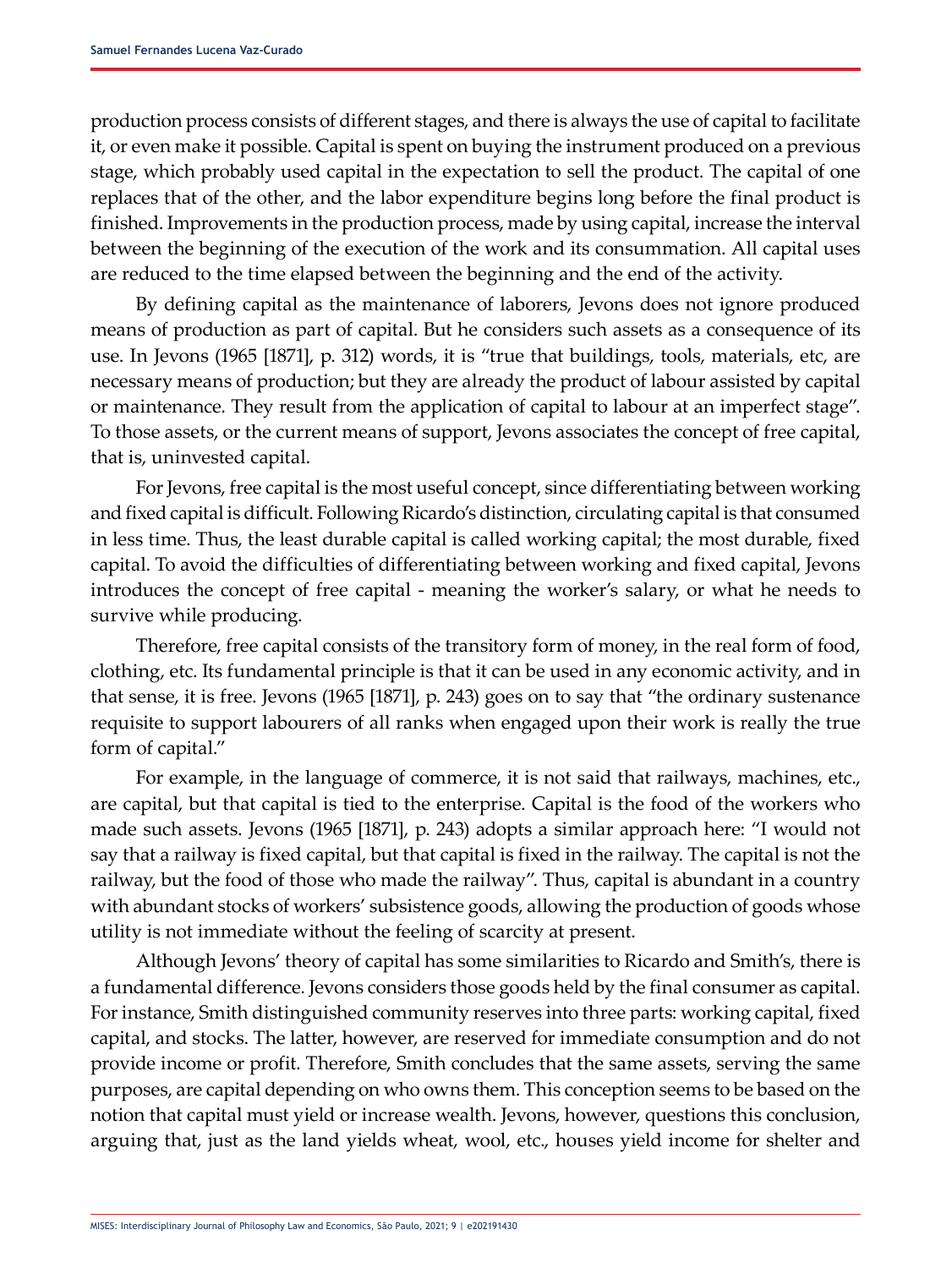production process consists of different stages, and there is always the use of capital to facilitate it, or even make it possible. Capital is spent on buying the instrument produced on a previous stage, which probably used capital in the expectation to sell the product. The capital of one replaces that of the other, and the labor expenditure begins long before the final product is finished. Improvements in the production process, made by using capital, increase the interval between the beginning of the execution of the work and its consummation. All capital uses are reduced to the time elapsed between the beginning and the end of the activity.

By defining capital as the maintenance of laborers, Jevons does not ignore produced means of production as part of capital. But he considers such assets as a consequence of its use. In Jevons (1965 [1871], p. 312) words, it is "true that buildings, tools, materials, etc, are necessary means of production; but they are already the product of labour assisted by capital or maintenance. They result from the application of capital to labour at an imperfect stage". To those assets, or the current means of support, Jevons associates the concept of free capital, that is, uninvested capital.

For Jevons, free capital is the most useful concept, since differentiating between working and fixed capital is difficult. Following Ricardo's distinction, circulating capital is that consumed in less time. Thus, the least durable capital is called working capital; the most durable, fixed capital. To avoid the difficulties of differentiating between working and fixed capital, Jevons introduces the concept of free capital - meaning the worker's salary, or what he needs to survive while producing.

Therefore, free capital consists of the transitory form of money, in the real form of food, clothing, etc. Its fundamental principle is that it can be used in any economic activity, and in that sense, it is free. Jevons (1965 [1871], p. 243) goes on to say that "the ordinary sustenance requisite to support labourers of all ranks when engaged upon their work is really the true form of capital."

For example, in the language of commerce, it is not said that railways, machines, etc., are capital, but that capital is tied to the enterprise. Capital is the food of the workers who made such assets. Jevons (1965 [1871], p. 243) adopts a similar approach here: "I would not say that a railway is fixed capital, but that capital is fixed in the railway. The capital is not the railway, but the food of those who made the railway". Thus, capital is abundant in a country with abundant stocks of workers' subsistence goods, allowing the production of goods whose utility is not immediate without the feeling of scarcity at present.

Although Jevons' theory of capital has some similarities to Ricardo and Smith's, there is a fundamental difference. Jevons considers those goods held by the final consumer as capital. For instance, Smith distinguished community reserves into three parts: working capital, fixed capital, and stocks. The latter, however, are reserved for immediate consumption and do not provide income or profit. Therefore, Smith concludes that the same assets, serving the same purposes, are capital depending on who owns them. This conception seems to be based on the notion that capital must yield or increase wealth. Jevons, however, questions this conclusion, arguing that, just as the land yields wheat, wool, etc., houses yield income for shelter and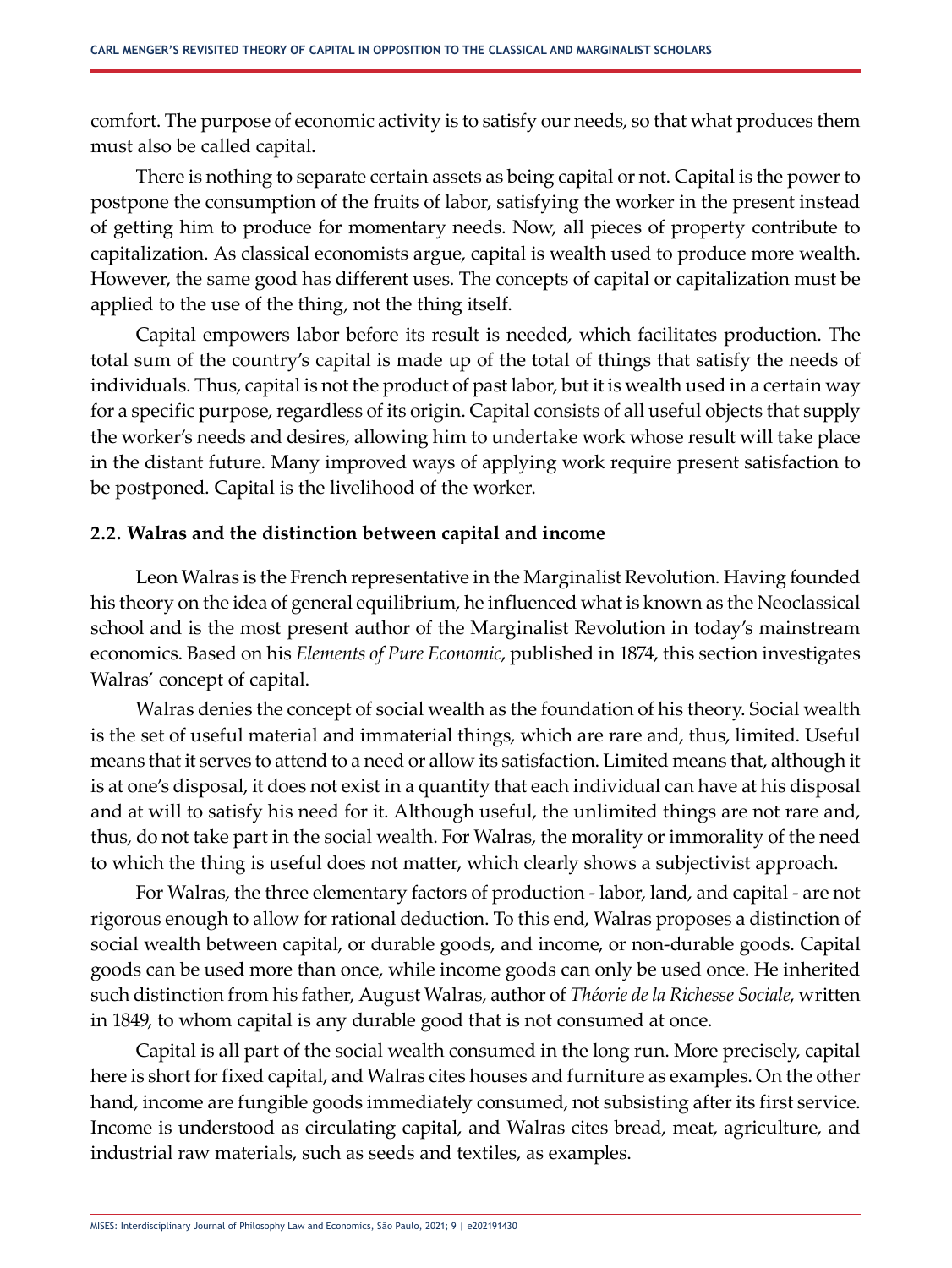comfort. The purpose of economic activity is to satisfy our needs, so that what produces them must also be called capital.

There is nothing to separate certain assets as being capital or not. Capital is the power to postpone the consumption of the fruits of labor, satisfying the worker in the present instead of getting him to produce for momentary needs. Now, all pieces of property contribute to capitalization. As classical economists argue, capital is wealth used to produce more wealth. However, the same good has different uses. The concepts of capital or capitalization must be applied to the use of the thing, not the thing itself.

Capital empowers labor before its result is needed, which facilitates production. The total sum of the country's capital is made up of the total of things that satisfy the needs of individuals. Thus, capital is not the product of past labor, but it is wealth used in a certain way for a specific purpose, regardless of its origin. Capital consists of all useful objects that supply the worker's needs and desires, allowing him to undertake work whose result will take place in the distant future. Many improved ways of applying work require present satisfaction to be postponed. Capital is the livelihood of the worker.

### **2.2. Walras and the distinction between capital and income**

Leon Walras is the French representative in the Marginalist Revolution. Having founded his theory on the idea of general equilibrium, he influenced what is known as the Neoclassical school and is the most present author of the Marginalist Revolution in today's mainstream economics. Based on his *Elements of Pure Economic*, published in 1874, this section investigates Walras' concept of capital.

Walras denies the concept of social wealth as the foundation of his theory. Social wealth is the set of useful material and immaterial things, which are rare and, thus, limited. Useful means that it serves to attend to a need or allow its satisfaction. Limited means that, although it is at one's disposal, it does not exist in a quantity that each individual can have at his disposal and at will to satisfy his need for it. Although useful, the unlimited things are not rare and, thus, do not take part in the social wealth. For Walras, the morality or immorality of the need to which the thing is useful does not matter, which clearly shows a subjectivist approach.

For Walras, the three elementary factors of production - labor, land, and capital - are not rigorous enough to allow for rational deduction. To this end, Walras proposes a distinction of social wealth between capital, or durable goods, and income, or non-durable goods. Capital goods can be used more than once, while income goods can only be used once. He inherited such distinction from his father, August Walras, author of *Théorie de la Richesse Sociale*, written in 1849, to whom capital is any durable good that is not consumed at once.

Capital is all part of the social wealth consumed in the long run. More precisely, capital here is short for fixed capital, and Walras cites houses and furniture as examples. On the other hand, income are fungible goods immediately consumed, not subsisting after its first service. Income is understood as circulating capital, and Walras cites bread, meat, agriculture, and industrial raw materials, such as seeds and textiles, as examples.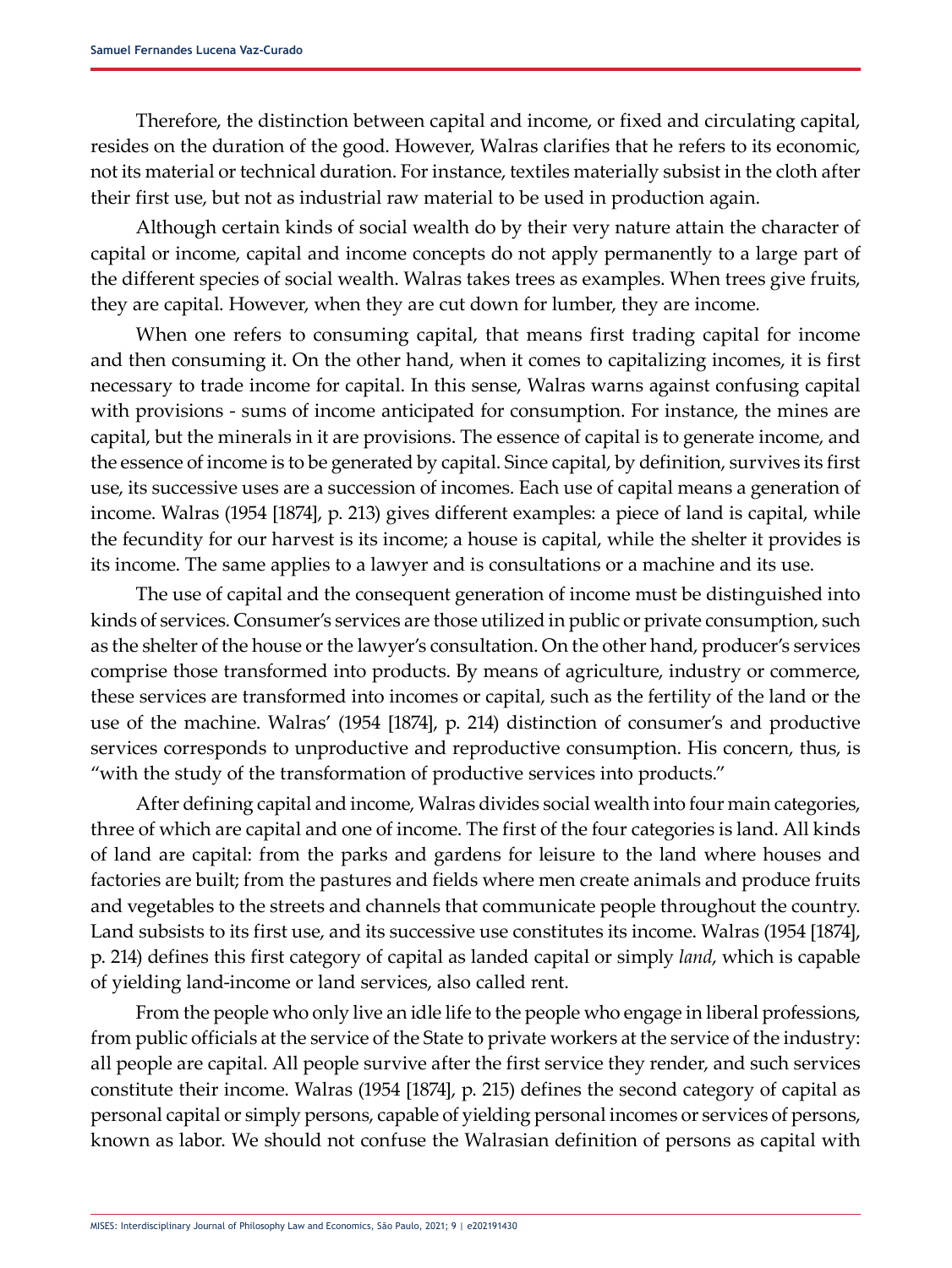Therefore, the distinction between capital and income, or fixed and circulating capital, resides on the duration of the good. However, Walras clarifies that he refers to its economic, not its material or technical duration. For instance, textiles materially subsist in the cloth after their first use, but not as industrial raw material to be used in production again.

Although certain kinds of social wealth do by their very nature attain the character of capital or income, capital and income concepts do not apply permanently to a large part of the different species of social wealth. Walras takes trees as examples. When trees give fruits, they are capital. However, when they are cut down for lumber, they are income.

When one refers to consuming capital, that means first trading capital for income and then consuming it. On the other hand, when it comes to capitalizing incomes, it is first necessary to trade income for capital. In this sense, Walras warns against confusing capital with provisions - sums of income anticipated for consumption. For instance, the mines are capital, but the minerals in it are provisions. The essence of capital is to generate income, and the essence of income is to be generated by capital. Since capital, by definition, survives its first use, its successive uses are a succession of incomes. Each use of capital means a generation of income. Walras (1954 [1874], p. 213) gives different examples: a piece of land is capital, while the fecundity for our harvest is its income; a house is capital, while the shelter it provides is its income. The same applies to a lawyer and is consultations or a machine and its use.

The use of capital and the consequent generation of income must be distinguished into kinds of services. Consumer's services are those utilized in public or private consumption, such as the shelter of the house or the lawyer's consultation. On the other hand, producer's services comprise those transformed into products. By means of agriculture, industry or commerce, these services are transformed into incomes or capital, such as the fertility of the land or the use of the machine. Walras' (1954 [1874], p. 214) distinction of consumer's and productive services corresponds to unproductive and reproductive consumption. His concern, thus, is "with the study of the transformation of productive services into products."

After defining capital and income, Walras divides social wealth into four main categories, three of which are capital and one of income. The first of the four categories is land. All kinds of land are capital: from the parks and gardens for leisure to the land where houses and factories are built; from the pastures and fields where men create animals and produce fruits and vegetables to the streets and channels that communicate people throughout the country. Land subsists to its first use, and its successive use constitutes its income. Walras (1954 [1874], p. 214) defines this first category of capital as landed capital or simply *land*, which is capable of yielding land-income or land services, also called rent.

From the people who only live an idle life to the people who engage in liberal professions, from public officials at the service of the State to private workers at the service of the industry: all people are capital. All people survive after the first service they render, and such services constitute their income. Walras (1954 [1874], p. 215) defines the second category of capital as personal capital or simply persons, capable of yielding personal incomes or services of persons, known as labor. We should not confuse the Walrasian definition of persons as capital with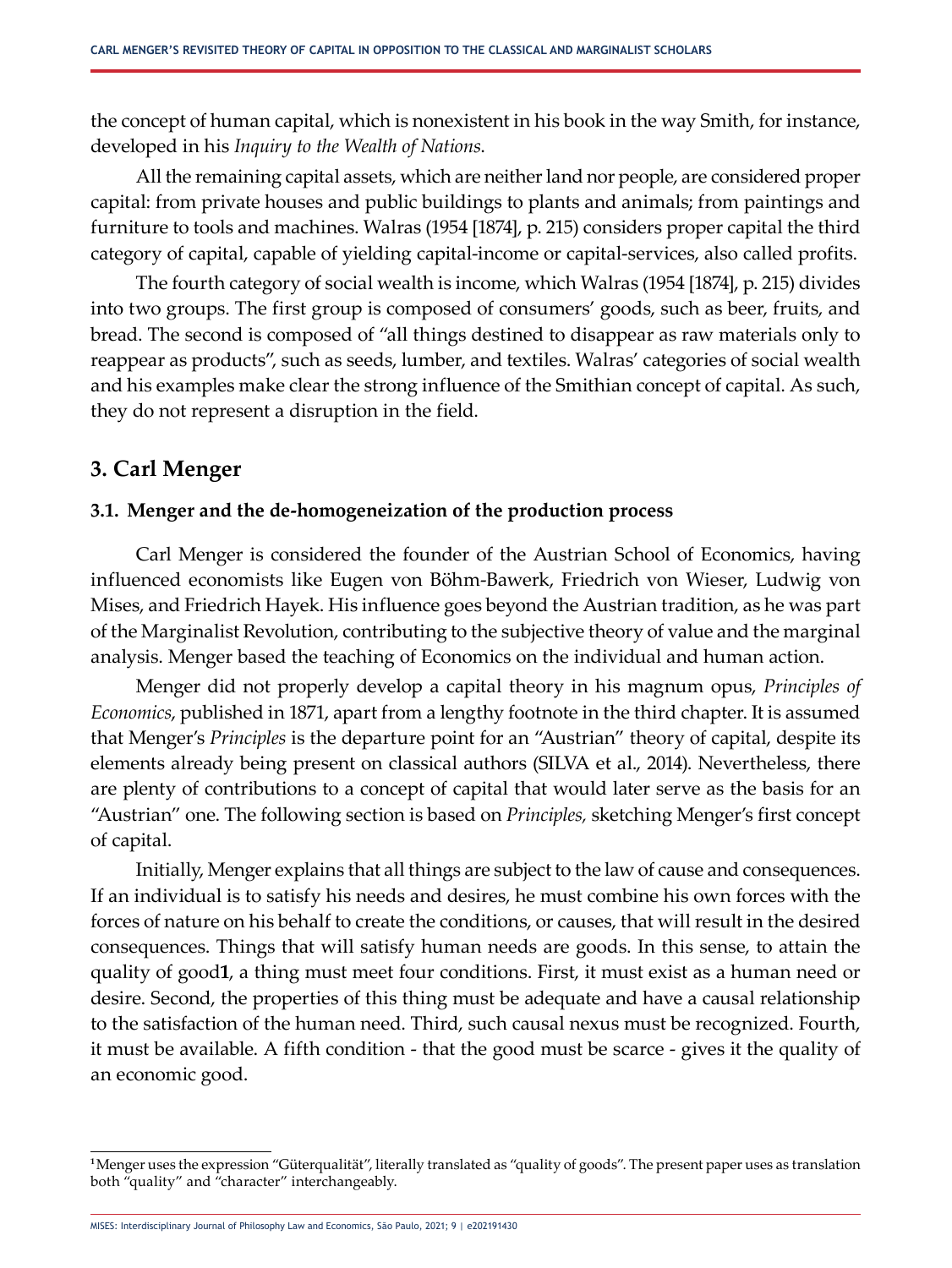the concept of human capital, which is nonexistent in his book in the way Smith, for instance, developed in his *Inquiry to the Wealth of Nations*.

All the remaining capital assets, which are neither land nor people, are considered proper capital: from private houses and public buildings to plants and animals; from paintings and furniture to tools and machines. Walras (1954 [1874], p. 215) considers proper capital the third category of capital, capable of yielding capital-income or capital-services, also called profits.

The fourth category of social wealth is income, which Walras (1954 [1874], p. 215) divides into two groups. The first group is composed of consumers' goods, such as beer, fruits, and bread. The second is composed of "all things destined to disappear as raw materials only to reappear as products", such as seeds, lumber, and textiles. Walras' categories of social wealth and his examples make clear the strong influence of the Smithian concept of capital. As such, they do not represent a disruption in the field.

# **3. Carl Menger**

### **3.1. Menger and the de-homogeneization of the production process**

Carl Menger is considered the founder of the Austrian School of Economics, having influenced economists like Eugen von Böhm-Bawerk, Friedrich von Wieser, Ludwig von Mises, and Friedrich Hayek. His influence goes beyond the Austrian tradition, as he was part of the Marginalist Revolution, contributing to the subjective theory of value and the marginal analysis. Menger based the teaching of Economics on the individual and human action.

Menger did not properly develop a capital theory in his magnum opus, *Principles of Economics*, published in 1871, apart from a lengthy footnote in the third chapter. It is assumed that Menger's *Principles* is the departure point for an "Austrian" theory of capital, despite its elements already being present on classical authors (SILVA et al., 2014). Nevertheless, there are plenty of contributions to a concept of capital that would later serve as the basis for an "Austrian" one. The following section is based on *Principles,* sketching Menger's first concept of capital.

Initially, Menger explains that all things are subject to the law of cause and consequences. If an individual is to satisfy his needs and desires, he must combine his own forces with the forces of nature on his behalf to create the conditions, or causes, that will result in the desired consequences. Things that will satisfy human needs are goods. In this sense, to attain the quality of good**1**, a thing must meet four conditions. First, it must exist as a human need or desire. Second, the properties of this thing must be adequate and have a causal relationship to the satisfaction of the human need. Third, such causal nexus must be recognized. Fourth, it must be available. A fifth condition - that the good must be scarce - gives it the quality of an economic good.

**<sup>1</sup>**Menger uses the expression "Güterqualität", literally translated as "quality of goods". The present paper uses as translation both "quality" and "character" interchangeably.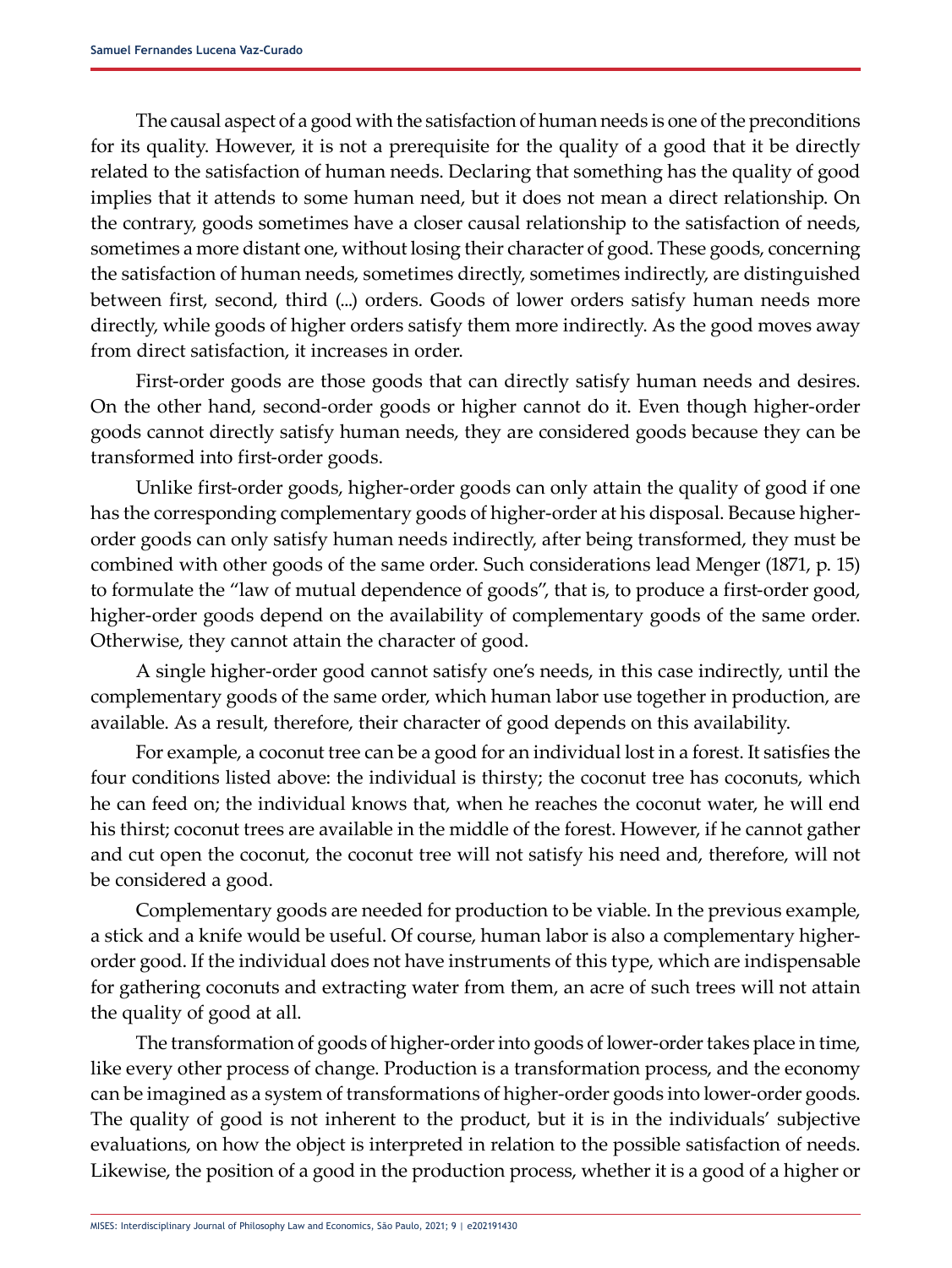The causal aspect of a good with the satisfaction of human needs is one of the preconditions for its quality. However, it is not a prerequisite for the quality of a good that it be directly related to the satisfaction of human needs. Declaring that something has the quality of good implies that it attends to some human need, but it does not mean a direct relationship. On the contrary, goods sometimes have a closer causal relationship to the satisfaction of needs, sometimes a more distant one, without losing their character of good. These goods, concerning the satisfaction of human needs, sometimes directly, sometimes indirectly, are distinguished between first, second, third (...) orders. Goods of lower orders satisfy human needs more directly, while goods of higher orders satisfy them more indirectly. As the good moves away from direct satisfaction, it increases in order.

First-order goods are those goods that can directly satisfy human needs and desires. On the other hand, second-order goods or higher cannot do it. Even though higher-order goods cannot directly satisfy human needs, they are considered goods because they can be transformed into first-order goods.

Unlike first-order goods, higher-order goods can only attain the quality of good if one has the corresponding complementary goods of higher-order at his disposal. Because higherorder goods can only satisfy human needs indirectly, after being transformed, they must be combined with other goods of the same order. Such considerations lead Menger (1871, p. 15) to formulate the "law of mutual dependence of goods", that is, to produce a first-order good, higher-order goods depend on the availability of complementary goods of the same order. Otherwise, they cannot attain the character of good.

A single higher-order good cannot satisfy one's needs, in this case indirectly, until the complementary goods of the same order, which human labor use together in production, are available. As a result, therefore, their character of good depends on this availability.

For example, a coconut tree can be a good for an individual lost in a forest. It satisfies the four conditions listed above: the individual is thirsty; the coconut tree has coconuts, which he can feed on; the individual knows that, when he reaches the coconut water, he will end his thirst; coconut trees are available in the middle of the forest. However, if he cannot gather and cut open the coconut, the coconut tree will not satisfy his need and, therefore, will not be considered a good.

Complementary goods are needed for production to be viable. In the previous example, a stick and a knife would be useful. Of course, human labor is also a complementary higherorder good. If the individual does not have instruments of this type, which are indispensable for gathering coconuts and extracting water from them, an acre of such trees will not attain the quality of good at all.

The transformation of goods of higher-order into goods of lower-order takes place in time, like every other process of change. Production is a transformation process, and the economy can be imagined as a system of transformations of higher-order goods into lower-order goods. The quality of good is not inherent to the product, but it is in the individuals' subjective evaluations, on how the object is interpreted in relation to the possible satisfaction of needs. Likewise, the position of a good in the production process, whether it is a good of a higher or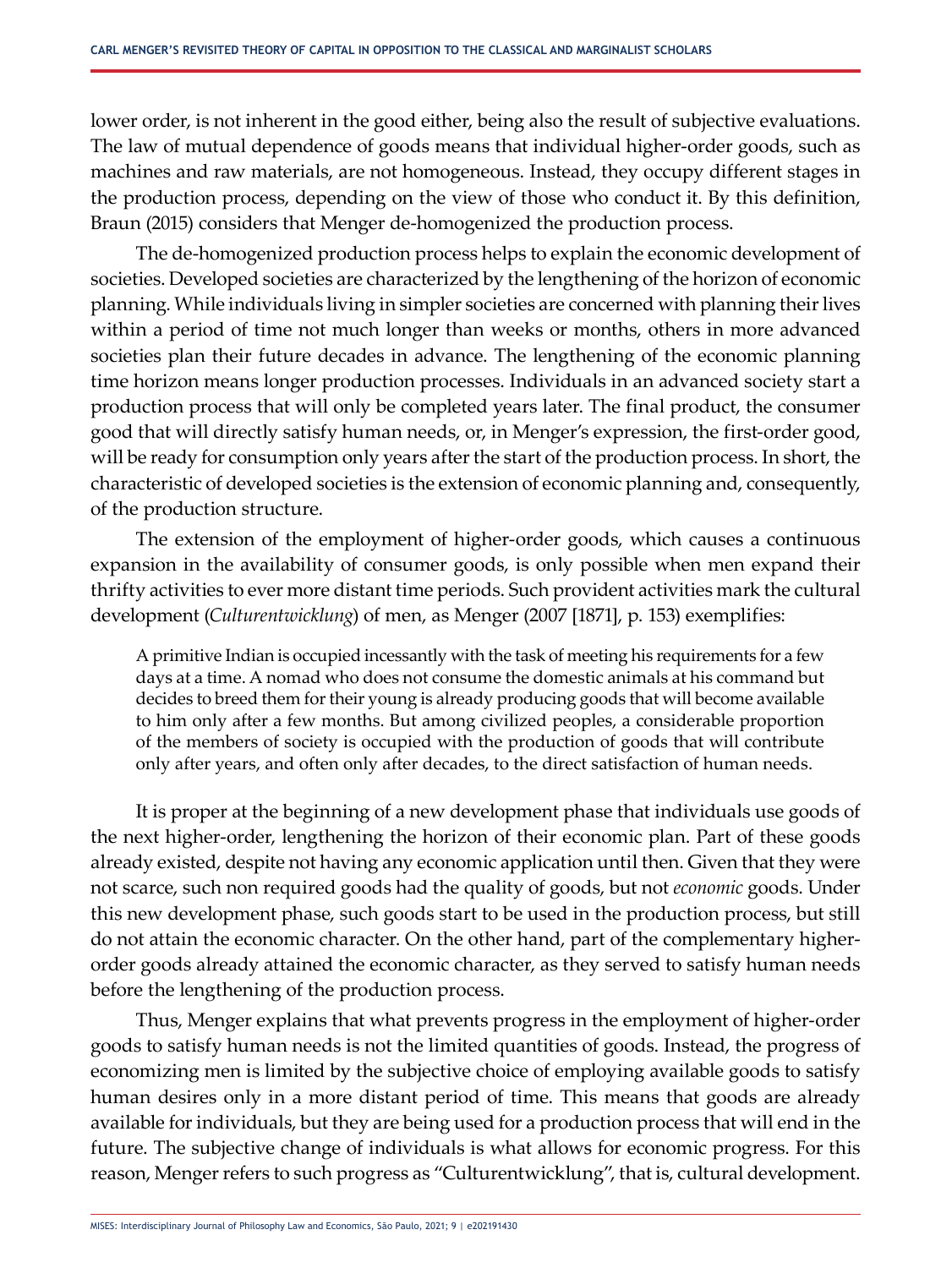lower order, is not inherent in the good either, being also the result of subjective evaluations. The law of mutual dependence of goods means that individual higher-order goods, such as machines and raw materials, are not homogeneous. Instead, they occupy different stages in the production process, depending on the view of those who conduct it. By this definition, Braun (2015) considers that Menger de-homogenized the production process.

The de-homogenized production process helps to explain the economic development of societies. Developed societies are characterized by the lengthening of the horizon of economic planning. While individuals living in simpler societies are concerned with planning their lives within a period of time not much longer than weeks or months, others in more advanced societies plan their future decades in advance. The lengthening of the economic planning time horizon means longer production processes. Individuals in an advanced society start a production process that will only be completed years later. The final product, the consumer good that will directly satisfy human needs, or, in Menger's expression, the first-order good, will be ready for consumption only years after the start of the production process. In short, the characteristic of developed societies is the extension of economic planning and, consequently, of the production structure.

The extension of the employment of higher-order goods, which causes a continuous expansion in the availability of consumer goods, is only possible when men expand their thrifty activities to ever more distant time periods. Such provident activities mark the cultural development (*Culturentwicklung*) of men, as Menger (2007 [1871], p. 153) exemplifies:

A primitive Indian is occupied incessantly with the task of meeting his requirements for a few days at a time. A nomad who does not consume the domestic animals at his command but decides to breed them for their young is already producing goods that will become available to him only after a few months. But among civilized peoples, a considerable proportion of the members of society is occupied with the production of goods that will contribute only after years, and often only after decades, to the direct satisfaction of human needs.

It is proper at the beginning of a new development phase that individuals use goods of the next higher-order, lengthening the horizon of their economic plan. Part of these goods already existed, despite not having any economic application until then. Given that they were not scarce, such non required goods had the quality of goods, but not *economic* goods. Under this new development phase, such goods start to be used in the production process, but still do not attain the economic character. On the other hand, part of the complementary higherorder goods already attained the economic character, as they served to satisfy human needs before the lengthening of the production process.

Thus, Menger explains that what prevents progress in the employment of higher-order goods to satisfy human needs is not the limited quantities of goods. Instead, the progress of economizing men is limited by the subjective choice of employing available goods to satisfy human desires only in a more distant period of time. This means that goods are already available for individuals, but they are being used for a production process that will end in the future. The subjective change of individuals is what allows for economic progress. For this reason, Menger refers to such progress as "Culturentwicklung", that is, cultural development.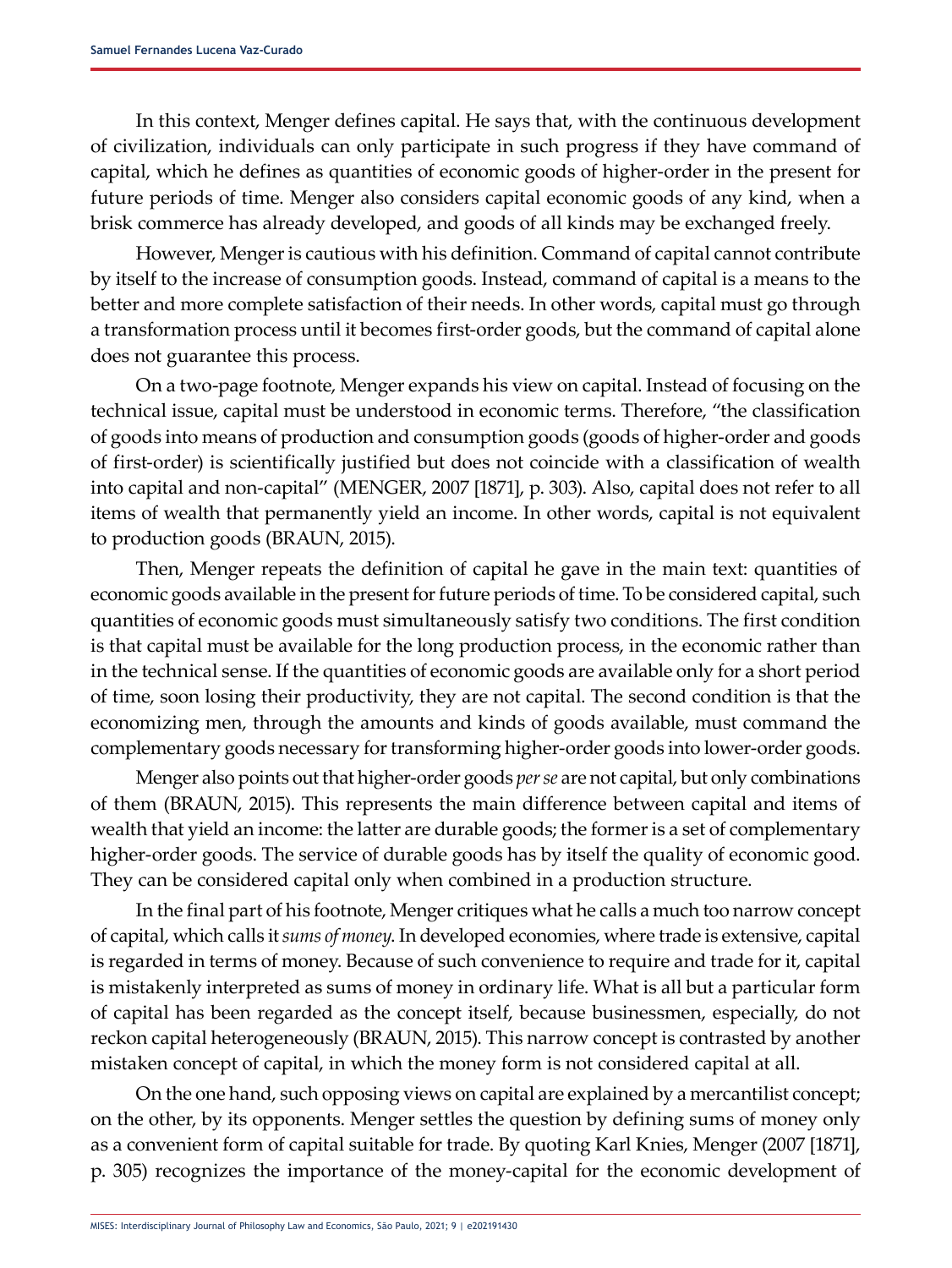In this context, Menger defines capital. He says that, with the continuous development of civilization, individuals can only participate in such progress if they have command of capital, which he defines as quantities of economic goods of higher-order in the present for future periods of time. Menger also considers capital economic goods of any kind, when a brisk commerce has already developed, and goods of all kinds may be exchanged freely.

However, Menger is cautious with his definition. Command of capital cannot contribute by itself to the increase of consumption goods. Instead, command of capital is a means to the better and more complete satisfaction of their needs. In other words, capital must go through a transformation process until it becomes first-order goods, but the command of capital alone does not guarantee this process.

On a two-page footnote, Menger expands his view on capital. Instead of focusing on the technical issue, capital must be understood in economic terms. Therefore, "the classification of goods into means of production and consumption goods (goods of higher-order and goods of first-order) is scientifically justified but does not coincide with a classification of wealth into capital and non-capital" (MENGER, 2007 [1871], p. 303). Also, capital does not refer to all items of wealth that permanently yield an income. In other words, capital is not equivalent to production goods (BRAUN, 2015).

Then, Menger repeats the definition of capital he gave in the main text: quantities of economic goods available in the present for future periods of time. To be considered capital, such quantities of economic goods must simultaneously satisfy two conditions. The first condition is that capital must be available for the long production process, in the economic rather than in the technical sense. If the quantities of economic goods are available only for a short period of time, soon losing their productivity, they are not capital. The second condition is that the economizing men, through the amounts and kinds of goods available, must command the complementary goods necessary for transforming higher-order goods into lower-order goods.

Menger also points out that higher-order goods *per se* are not capital, but only combinations of them (BRAUN, 2015). This represents the main difference between capital and items of wealth that yield an income: the latter are durable goods; the former is a set of complementary higher-order goods. The service of durable goods has by itself the quality of economic good. They can be considered capital only when combined in a production structure.

In the final part of his footnote, Menger critiques what he calls a much too narrow concept of capital, which calls it *sums of money*. In developed economies, where trade is extensive, capital is regarded in terms of money. Because of such convenience to require and trade for it, capital is mistakenly interpreted as sums of money in ordinary life. What is all but a particular form of capital has been regarded as the concept itself, because businessmen, especially, do not reckon capital heterogeneously (BRAUN, 2015). This narrow concept is contrasted by another mistaken concept of capital, in which the money form is not considered capital at all.

On the one hand, such opposing views on capital are explained by a mercantilist concept; on the other, by its opponents. Menger settles the question by defining sums of money only as a convenient form of capital suitable for trade. By quoting Karl Knies, Menger (2007 [1871], p. 305) recognizes the importance of the money-capital for the economic development of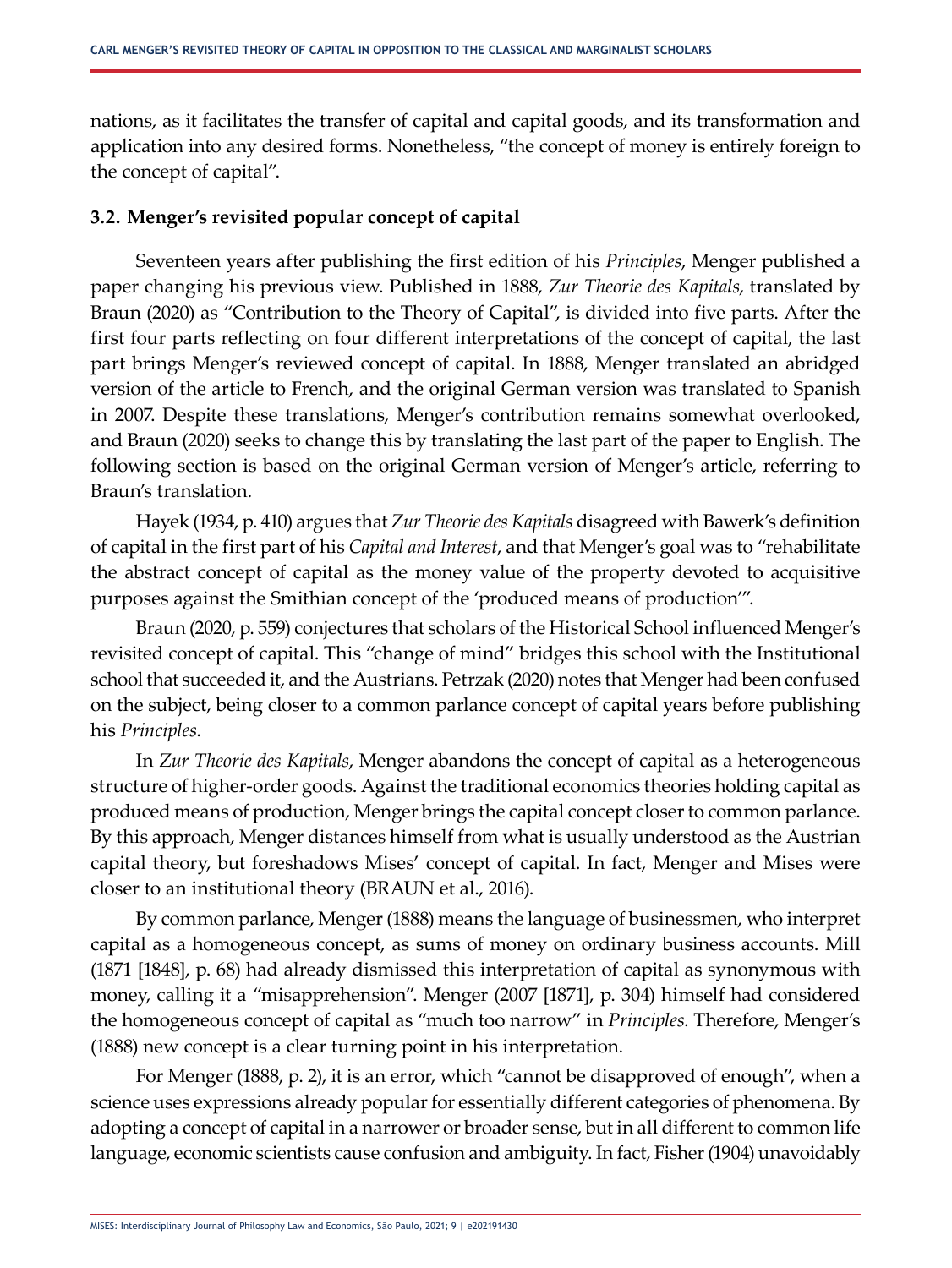nations, as it facilitates the transfer of capital and capital goods, and its transformation and application into any desired forms. Nonetheless, "the concept of money is entirely foreign to the concept of capital".

## **3.2. Menger's revisited popular concept of capital**

Seventeen years after publishing the first edition of his *Principles*, Menger published a paper changing his previous view. Published in 1888, *Zur Theorie des Kapitals*, translated by Braun (2020) as "Contribution to the Theory of Capital", is divided into five parts. After the first four parts reflecting on four different interpretations of the concept of capital, the last part brings Menger's reviewed concept of capital. In 1888, Menger translated an abridged version of the article to French, and the original German version was translated to Spanish in 2007. Despite these translations, Menger's contribution remains somewhat overlooked, and Braun (2020) seeks to change this by translating the last part of the paper to English. The following section is based on the original German version of Menger's article, referring to Braun's translation.

Hayek (1934, p. 410) argues that *Zur Theorie des Kapitals* disagreed with Bawerk's definition of capital in the first part of his *Capital and Interest*, and that Menger's goal was to "rehabilitate the abstract concept of capital as the money value of the property devoted to acquisitive purposes against the Smithian concept of the 'produced means of production'".

Braun (2020, p. 559) conjectures that scholars of the Historical School influenced Menger's revisited concept of capital. This "change of mind" bridges this school with the Institutional school that succeeded it, and the Austrians. Petrzak (2020) notes that Menger had been confused on the subject, being closer to a common parlance concept of capital years before publishing his *Principles*.

In *Zur Theorie des Kapitals*, Menger abandons the concept of capital as a heterogeneous structure of higher-order goods. Against the traditional economics theories holding capital as produced means of production, Menger brings the capital concept closer to common parlance. By this approach, Menger distances himself from what is usually understood as the Austrian capital theory, but foreshadows Mises' concept of capital. In fact, Menger and Mises were closer to an institutional theory (BRAUN et al., 2016).

By common parlance, Menger (1888) means the language of businessmen, who interpret capital as a homogeneous concept, as sums of money on ordinary business accounts. Mill (1871 [1848], p. 68) had already dismissed this interpretation of capital as synonymous with money, calling it a "misapprehension". Menger (2007 [1871], p. 304) himself had considered the homogeneous concept of capital as "much too narrow" in *Principles*. Therefore, Menger's (1888) new concept is a clear turning point in his interpretation.

For Menger (1888, p. 2), it is an error, which "cannot be disapproved of enough", when a science uses expressions already popular for essentially different categories of phenomena. By adopting a concept of capital in a narrower or broader sense, but in all different to common life language, economic scientists cause confusion and ambiguity. In fact, Fisher (1904) unavoidably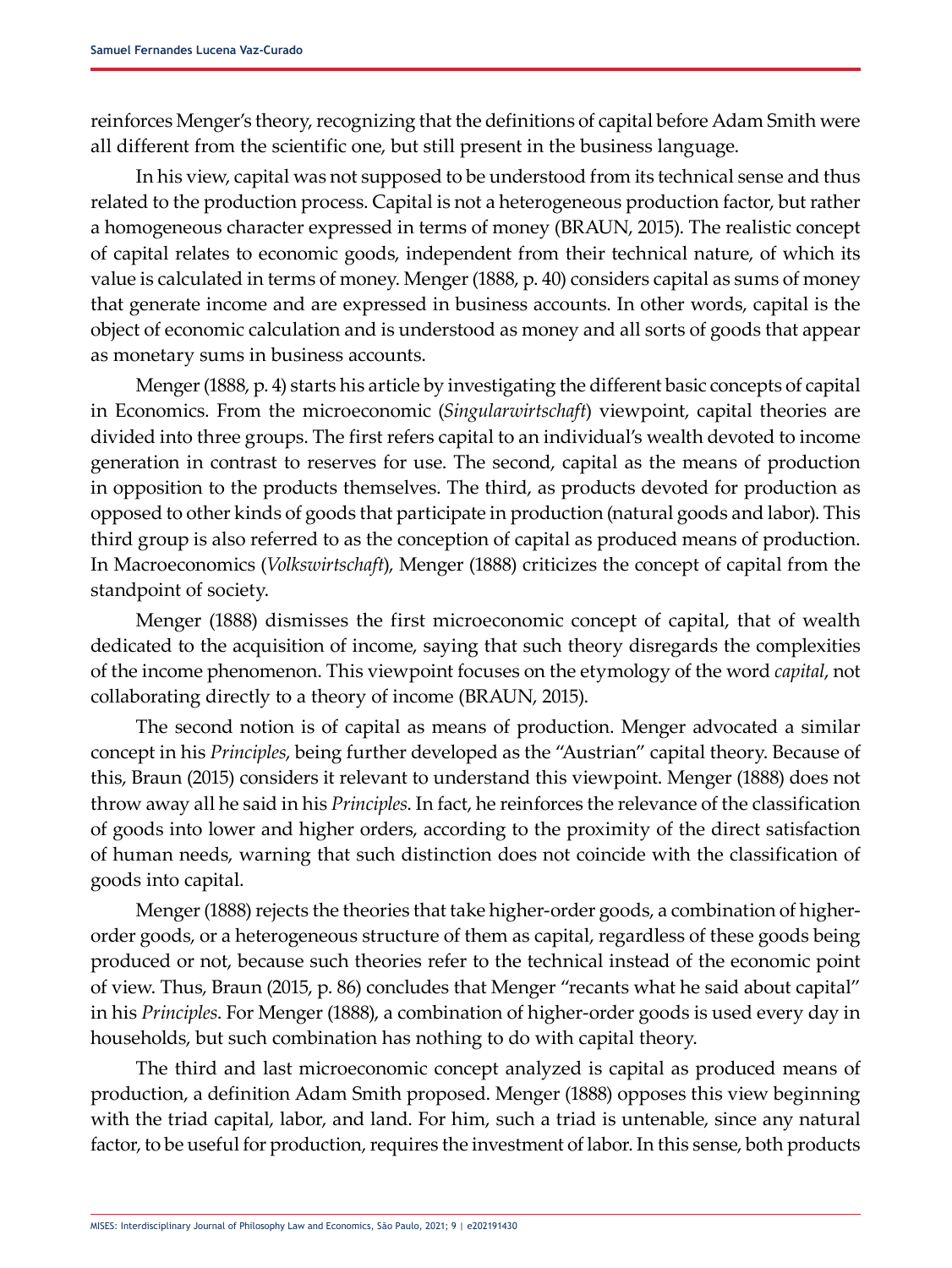reinforces Menger's theory, recognizing that the definitions of capital before Adam Smith were all different from the scientific one, but still present in the business language.

In his view, capital was not supposed to be understood from its technical sense and thus related to the production process. Capital is not a heterogeneous production factor, but rather a homogeneous character expressed in terms of money (BRAUN, 2015). The realistic concept of capital relates to economic goods, independent from their technical nature, of which its value is calculated in terms of money. Menger (1888, p. 40) considers capital as sums of money that generate income and are expressed in business accounts. In other words, capital is the object of economic calculation and is understood as money and all sorts of goods that appear as monetary sums in business accounts.

Menger (1888, p. 4) starts his article by investigating the different basic concepts of capital in Economics. From the microeconomic (*Singularwirtschaft*) viewpoint, capital theories are divided into three groups. The first refers capital to an individual's wealth devoted to income generation in contrast to reserves for use. The second, capital as the means of production in opposition to the products themselves. The third, as products devoted for production as opposed to other kinds of goods that participate in production (natural goods and labor). This third group is also referred to as the conception of capital as produced means of production. In Macroeconomics (*Volkswirtschaft*), Menger (1888) criticizes the concept of capital from the standpoint of society.

Menger (1888) dismisses the first microeconomic concept of capital, that of wealth dedicated to the acquisition of income, saying that such theory disregards the complexities of the income phenomenon. This viewpoint focuses on the etymology of the word *capital*, not collaborating directly to a theory of income (BRAUN, 2015).

The second notion is of capital as means of production. Menger advocated a similar concept in his *Principles*, being further developed as the "Austrian" capital theory. Because of this, Braun (2015) considers it relevant to understand this viewpoint. Menger (1888) does not throw away all he said in his *Principles*. In fact, he reinforces the relevance of the classification of goods into lower and higher orders, according to the proximity of the direct satisfaction of human needs, warning that such distinction does not coincide with the classification of goods into capital.

Menger (1888) rejects the theories that take higher-order goods, a combination of higherorder goods, or a heterogeneous structure of them as capital, regardless of these goods being produced or not, because such theories refer to the technical instead of the economic point of view. Thus, Braun (2015, p. 86) concludes that Menger "recants what he said about capital" in his *Principles*. For Menger (1888), a combination of higher-order goods is used every day in households, but such combination has nothing to do with capital theory.

The third and last microeconomic concept analyzed is capital as produced means of production, a definition Adam Smith proposed. Menger (1888) opposes this view beginning with the triad capital, labor, and land. For him, such a triad is untenable, since any natural factor, to be useful for production, requires the investment of labor. In this sense, both products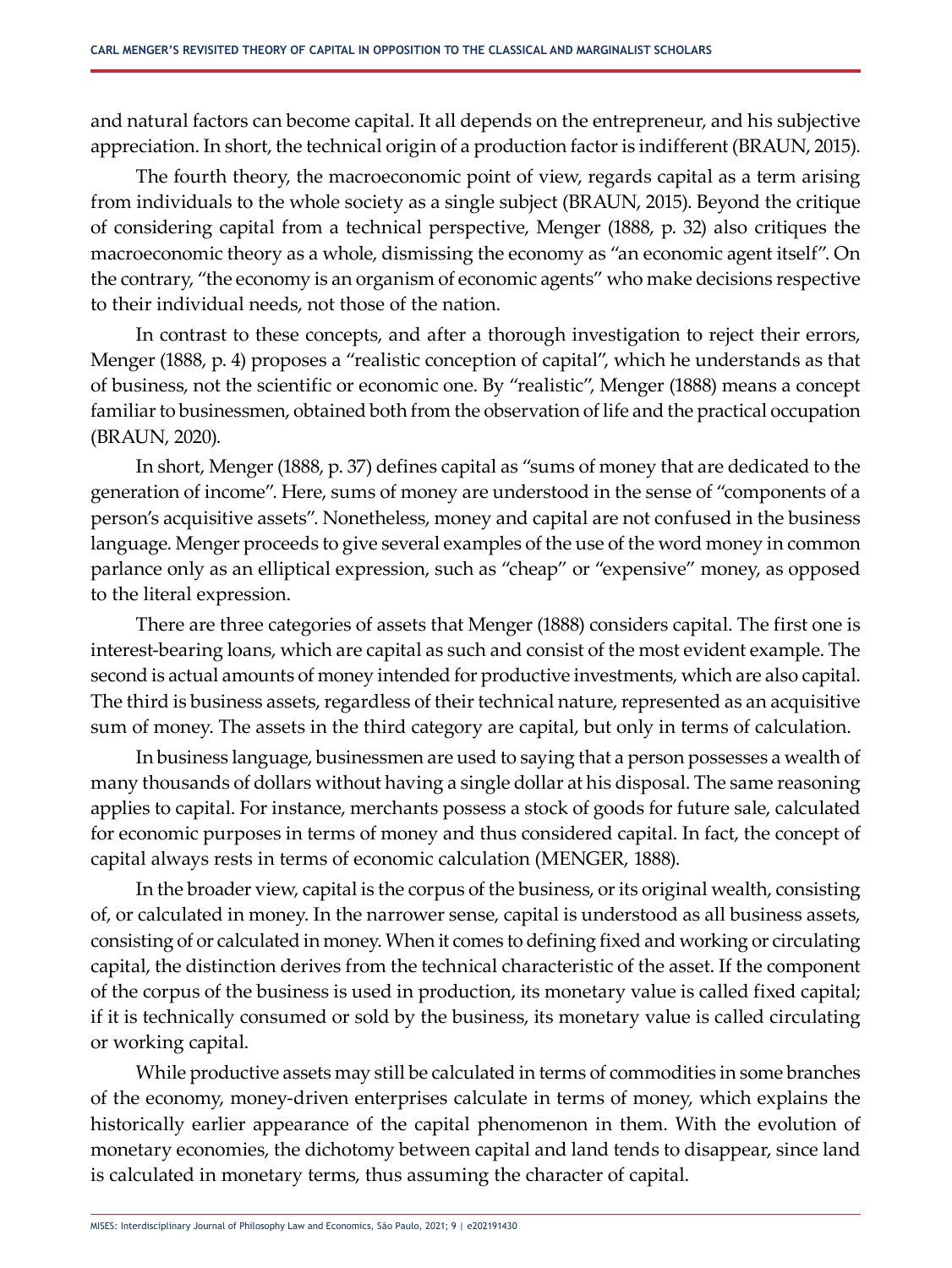and natural factors can become capital. It all depends on the entrepreneur, and his subjective appreciation. In short, the technical origin of a production factor is indifferent (BRAUN, 2015).

The fourth theory, the macroeconomic point of view, regards capital as a term arising from individuals to the whole society as a single subject (BRAUN, 2015). Beyond the critique of considering capital from a technical perspective, Menger (1888, p. 32) also critiques the macroeconomic theory as a whole, dismissing the economy as "an economic agent itself". On the contrary, "the economy is an organism of economic agents" who make decisions respective to their individual needs, not those of the nation.

In contrast to these concepts, and after a thorough investigation to reject their errors, Menger (1888, p. 4) proposes a "realistic conception of capital", which he understands as that of business, not the scientific or economic one. By "realistic", Menger (1888) means a concept familiar to businessmen, obtained both from the observation of life and the practical occupation (BRAUN, 2020).

In short, Menger (1888, p. 37) defines capital as "sums of money that are dedicated to the generation of income". Here, sums of money are understood in the sense of "components of a person's acquisitive assets". Nonetheless, money and capital are not confused in the business language. Menger proceeds to give several examples of the use of the word money in common parlance only as an elliptical expression, such as "cheap" or "expensive" money, as opposed to the literal expression.

There are three categories of assets that Menger (1888) considers capital. The first one is interest-bearing loans, which are capital as such and consist of the most evident example. The second is actual amounts of money intended for productive investments, which are also capital. The third is business assets, regardless of their technical nature, represented as an acquisitive sum of money. The assets in the third category are capital, but only in terms of calculation.

In business language, businessmen are used to saying that a person possesses a wealth of many thousands of dollars without having a single dollar at his disposal. The same reasoning applies to capital. For instance, merchants possess a stock of goods for future sale, calculated for economic purposes in terms of money and thus considered capital. In fact, the concept of capital always rests in terms of economic calculation (MENGER, 1888).

In the broader view, capital is the corpus of the business, or its original wealth, consisting of, or calculated in money. In the narrower sense, capital is understood as all business assets, consisting of or calculated in money. When it comes to defining fixed and working or circulating capital, the distinction derives from the technical characteristic of the asset. If the component of the corpus of the business is used in production, its monetary value is called fixed capital; if it is technically consumed or sold by the business, its monetary value is called circulating or working capital.

While productive assets may still be calculated in terms of commodities in some branches of the economy, money-driven enterprises calculate in terms of money, which explains the historically earlier appearance of the capital phenomenon in them. With the evolution of monetary economies, the dichotomy between capital and land tends to disappear, since land is calculated in monetary terms, thus assuming the character of capital.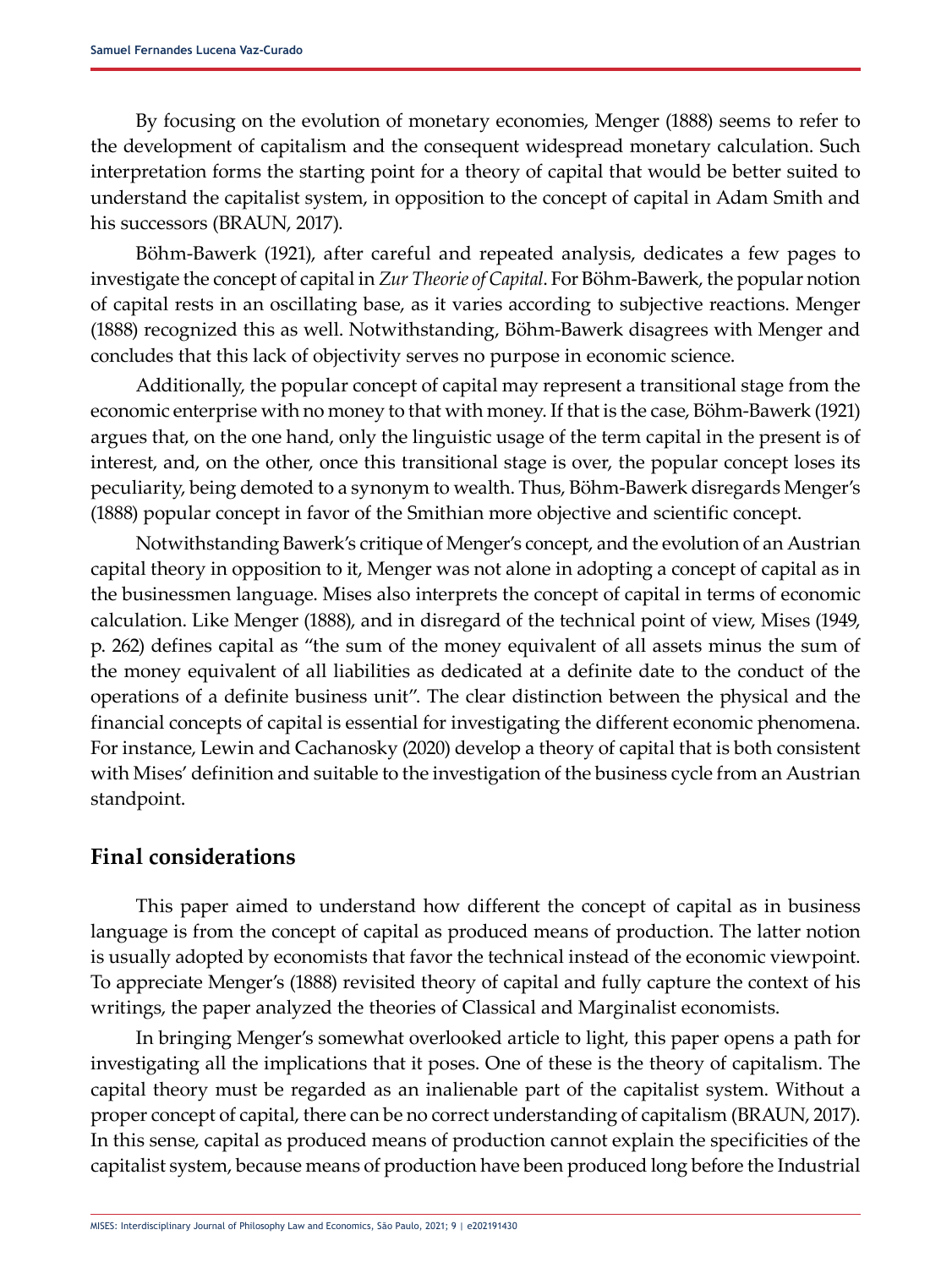By focusing on the evolution of monetary economies, Menger (1888) seems to refer to the development of capitalism and the consequent widespread monetary calculation. Such interpretation forms the starting point for a theory of capital that would be better suited to understand the capitalist system, in opposition to the concept of capital in Adam Smith and his successors (BRAUN, 2017).

Böhm-Bawerk (1921), after careful and repeated analysis, dedicates a few pages to investigate the concept of capital in *Zur Theorie of Capital*. For Böhm-Bawerk, the popular notion of capital rests in an oscillating base, as it varies according to subjective reactions. Menger (1888) recognized this as well. Notwithstanding, Böhm-Bawerk disagrees with Menger and concludes that this lack of objectivity serves no purpose in economic science.

Additionally, the popular concept of capital may represent a transitional stage from the economic enterprise with no money to that with money. If that is the case, Böhm-Bawerk (1921) argues that, on the one hand, only the linguistic usage of the term capital in the present is of interest, and, on the other, once this transitional stage is over, the popular concept loses its peculiarity, being demoted to a synonym to wealth. Thus, Böhm-Bawerk disregards Menger's (1888) popular concept in favor of the Smithian more objective and scientific concept.

Notwithstanding Bawerk's critique of Menger's concept, and the evolution of an Austrian capital theory in opposition to it, Menger was not alone in adopting a concept of capital as in the businessmen language. Mises also interprets the concept of capital in terms of economic calculation. Like Menger (1888), and in disregard of the technical point of view, Mises (1949, p. 262) defines capital as "the sum of the money equivalent of all assets minus the sum of the money equivalent of all liabilities as dedicated at a definite date to the conduct of the operations of a definite business unit". The clear distinction between the physical and the financial concepts of capital is essential for investigating the different economic phenomena. For instance, Lewin and Cachanosky (2020) develop a theory of capital that is both consistent with Mises' definition and suitable to the investigation of the business cycle from an Austrian standpoint.

# **Final considerations**

This paper aimed to understand how different the concept of capital as in business language is from the concept of capital as produced means of production. The latter notion is usually adopted by economists that favor the technical instead of the economic viewpoint. To appreciate Menger's (1888) revisited theory of capital and fully capture the context of his writings, the paper analyzed the theories of Classical and Marginalist economists.

In bringing Menger's somewhat overlooked article to light, this paper opens a path for investigating all the implications that it poses. One of these is the theory of capitalism. The capital theory must be regarded as an inalienable part of the capitalist system. Without a proper concept of capital, there can be no correct understanding of capitalism (BRAUN, 2017). In this sense, capital as produced means of production cannot explain the specificities of the capitalist system, because means of production have been produced long before the Industrial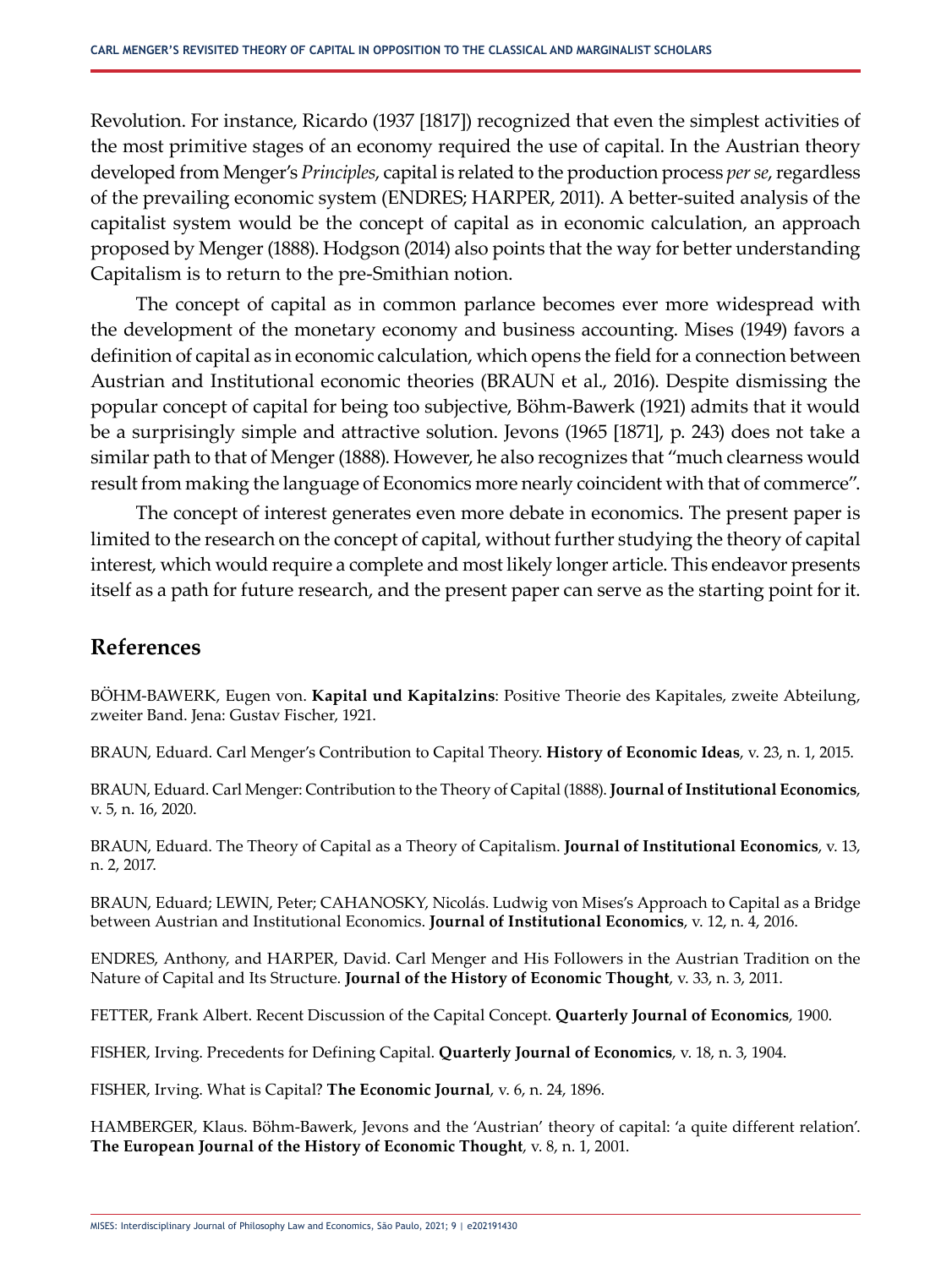Revolution. For instance, Ricardo (1937 [1817]) recognized that even the simplest activities of the most primitive stages of an economy required the use of capital. In the Austrian theory developed from Menger's *Principles*, capital is related to the production process *per se*, regardless of the prevailing economic system (ENDRES; HARPER, 2011). A better-suited analysis of the capitalist system would be the concept of capital as in economic calculation, an approach proposed by Menger (1888). Hodgson (2014) also points that the way for better understanding Capitalism is to return to the pre-Smithian notion.

The concept of capital as in common parlance becomes ever more widespread with the development of the monetary economy and business accounting. Mises (1949) favors a definition of capital as in economic calculation, which opens the field for a connection between Austrian and Institutional economic theories (BRAUN et al., 2016). Despite dismissing the popular concept of capital for being too subjective, Böhm-Bawerk (1921) admits that it would be a surprisingly simple and attractive solution. Jevons (1965 [1871], p. 243) does not take a similar path to that of Menger (1888). However, he also recognizes that "much clearness would result from making the language of Economics more nearly coincident with that of commerce".

The concept of interest generates even more debate in economics. The present paper is limited to the research on the concept of capital, without further studying the theory of capital interest, which would require a complete and most likely longer article. This endeavor presents itself as a path for future research, and the present paper can serve as the starting point for it.

# **References**

BÖHM-BAWERK, Eugen von. **Kapital und Kapitalzins**: Positive Theorie des Kapitales, zweite Abteilung, zweiter Band. Jena: Gustav Fischer, 1921.

BRAUN, Eduard. Carl Menger's Contribution to Capital Theory. **History of Economic Ideas**, v. 23, n. 1, 2015.

BRAUN, Eduard. Carl Menger: Contribution to the Theory of Capital (1888). **Journal of Institutional Economics**, v. 5, n. 16, 2020.

BRAUN, Eduard. The Theory of Capital as a Theory of Capitalism. **Journal of Institutional Economics**, v. 13, n. 2, 2017.

BRAUN, Eduard; LEWIN, Peter; CAHANOSKY, Nicolás. Ludwig von Mises's Approach to Capital as a Bridge between Austrian and Institutional Economics. **Journal of Institutional Economics**, v. 12, n. 4, 2016.

ENDRES, Anthony, and HARPER, David. Carl Menger and His Followers in the Austrian Tradition on the Nature of Capital and Its Structure. **Journal of the History of Economic Thought**, v. 33, n. 3, 2011.

FETTER, Frank Albert. Recent Discussion of the Capital Concept. **Quarterly Journal of Economics**, 1900.

FISHER, Irving. Precedents for Defining Capital. **Quarterly Journal of Economics**, v. 18, n. 3, 1904.

FISHER, Irving. What is Capital? **The Economic Journal**, v. 6, n. 24, 1896.

HAMBERGER, Klaus. Böhm-Bawerk, Jevons and the 'Austrian' theory of capital: 'a quite different relation'. **The European Journal of the History of Economic Thought**, v. 8, n. 1, 2001.